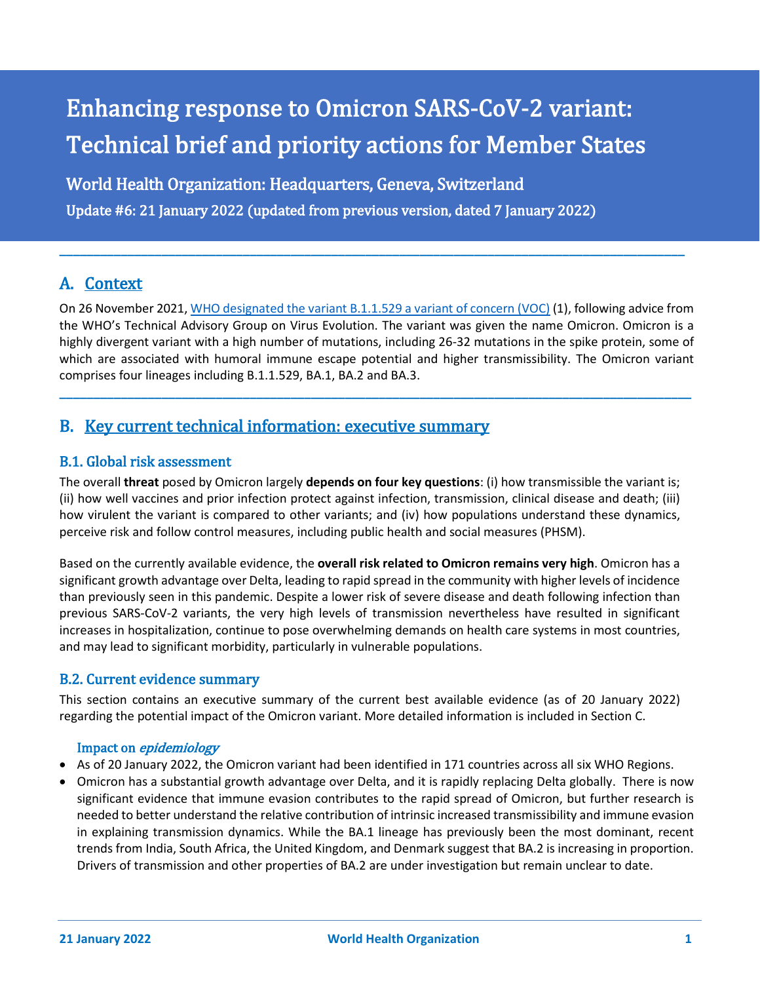# Enhancing response to Omicron SARS-CoV-2 variant: Technical brief and priority actions for Member States

World Health Organization: Headquarters, Geneva, Switzerland

Update #6: 21 January 2022 (updated from previous version, dated 7 January 2022)

# A. Context

On 26 November 2021[, WHO designated the variant B.1.1.529 a variant of concern \(VOC\)](https://www.who.int/news/item/26-11-2021-classification-of-omicron-(b.1.1.529)-sars-cov-2-variant-of-concern) (1), following advice from the WHO's Technical Advisory Group on Virus Evolution. The variant was given the name Omicron. Omicron is a highly divergent variant with a high number of mutations, including 26-32 mutations in the spike protein, some of which are associated with humoral immune escape potential and higher transmissibility. The Omicron variant comprises four lineages including B.1.1.529, BA.1, BA.2 and BA.3.

**\_\_\_\_\_\_\_\_\_\_\_\_\_\_\_\_\_\_\_\_\_\_\_\_\_\_\_\_\_\_\_\_\_\_\_\_\_\_\_\_\_\_\_\_\_\_\_\_\_\_\_\_\_\_\_\_\_\_\_\_\_\_\_\_\_\_\_\_\_\_\_\_\_\_\_\_\_\_\_\_\_\_\_\_\_\_\_\_\_\_\_\_\_**

**\_\_\_\_\_\_\_\_\_\_\_\_\_\_\_\_\_\_\_\_\_\_\_\_\_\_\_\_\_\_\_\_\_\_\_\_\_\_\_\_\_\_\_\_\_\_\_\_\_\_\_\_\_\_\_\_\_\_\_\_\_\_\_\_\_\_\_\_\_\_\_\_\_\_\_\_\_\_\_\_\_\_\_\_\_\_\_\_\_\_\_\_**

# B. Key current technical information: executive summary

# B.1. Global risk assessment

The overall **threat** posed by Omicron largely **depends on four key questions**: (i) how transmissible the variant is; (ii) how well vaccines and prior infection protect against infection, transmission, clinical disease and death; (iii) how virulent the variant is compared to other variants; and (iv) how populations understand these dynamics, perceive risk and follow control measures, including public health and social measures (PHSM).

Based on the currently available evidence, the **overall risk related to Omicron remains very high**. Omicron has a significant growth advantage over Delta, leading to rapid spread in the community with higher levels of incidence than previously seen in this pandemic. Despite a lower risk of severe disease and death following infection than previous SARS-CoV-2 variants, the very high levels of transmission nevertheless have resulted in significant increases in hospitalization, continue to pose overwhelming demands on health care systems in most countries, and may lead to significant morbidity, particularly in vulnerable populations.

# B.2. Current evidence summary

This section contains an executive summary of the current best available evidence (as of 20 January 2022) regarding the potential impact of the Omicron variant. More detailed information is included in Section C.

# Impact on epidemiology

- As of 20 January 2022, the Omicron variant had been identified in 171 countries across all six WHO Regions.
- Omicron has a substantial growth advantage over Delta, and it is rapidly replacing Delta globally. There is now significant evidence that immune evasion contributes to the rapid spread of Omicron, but further research is needed to better understand the relative contribution of intrinsic increased transmissibility and immune evasion in explaining transmission dynamics. While the BA.1 lineage has previously been the most dominant, recent trends from India, South Africa, the United Kingdom, and Denmark suggest that BA.2 is increasing in proportion. Drivers of transmission and other properties of BA.2 are under investigation but remain unclear to date.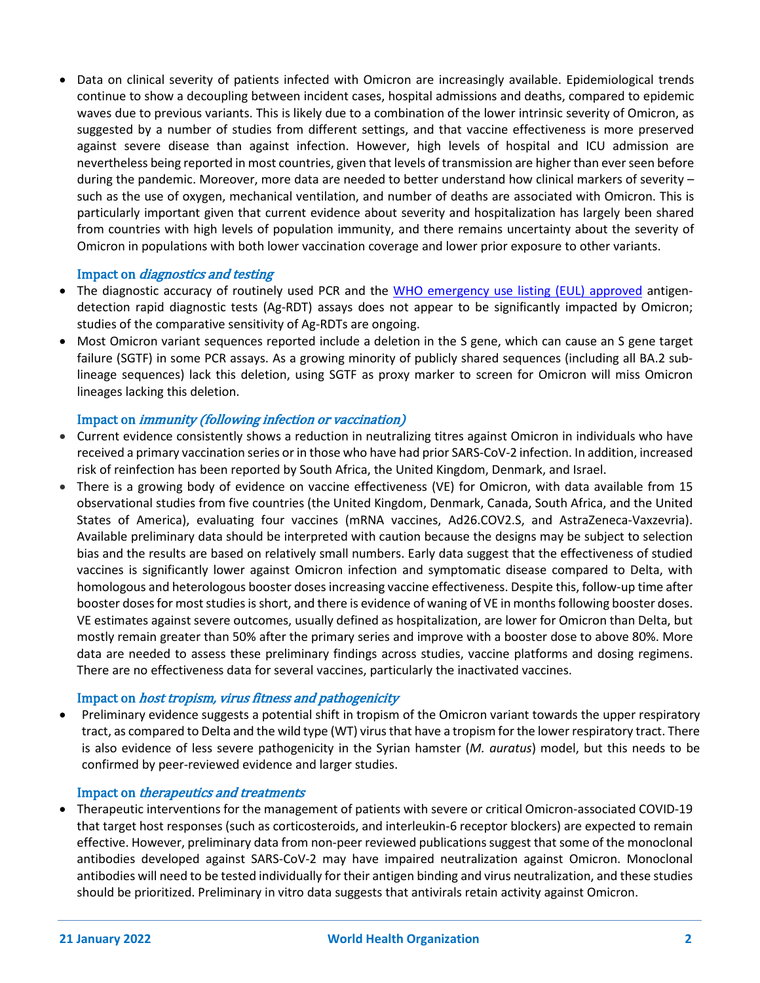• Data on clinical severity of patients infected with Omicron are increasingly available. Epidemiological trends continue to show a decoupling between incident cases, hospital admissions and deaths, compared to epidemic waves due to previous variants. This is likely due to a combination of the lower intrinsic severity of Omicron, as suggested by a number of studies from different settings, and that vaccine effectiveness is more preserved against severe disease than against infection. However, high levels of hospital and ICU admission are nevertheless being reported in most countries, given that levels of transmission are higher than ever seen before during the pandemic. Moreover, more data are needed to better understand how clinical markers of severity – such as the use of oxygen, mechanical ventilation, and number of deaths are associated with Omicron. This is particularly important given that current evidence about severity and hospitalization has largely been shared from countries with high levels of population immunity, and there remains uncertainty about the severity of Omicron in populations with both lower vaccination coverage and lower prior exposure to other variants.

#### Impact on diagnostics and testing

- The diagnostic accuracy of routinely used PCR and the [WHO emergency use listing \(EUL\) approved](https://extranet.who.int/pqweb/sites/default/files/documents/211125_EUL_SARS-CoV-2_products_list.pdf) antigendetection rapid diagnostic tests (Ag-RDT) assays does not appear to be significantly impacted by Omicron; studies of the comparative sensitivity of Ag-RDTs are ongoing.
- Most Omicron variant sequences reported include a deletion in the S gene, which can cause an S gene target failure (SGTF) in some PCR assays. As a growing minority of publicly shared sequences (including all BA.2 sublineage sequences) lack this deletion, using SGTF as proxy marker to screen for Omicron will miss Omicron lineages lacking this deletion.

#### Impact on immunity (following infection or vaccination)

- Current evidence consistently shows a reduction in neutralizing titres against Omicron in individuals who have received a primary vaccination series or in those who have had prior SARS-CoV-2 infection. In addition, increased risk of reinfection has been reported by South Africa, the United Kingdom, Denmark, and Israel.
- There is a growing body of evidence on vaccine effectiveness (VE) for Omicron, with data available from 15 observational studies from five countries (the United Kingdom, Denmark, Canada, South Africa, and the United States of America), evaluating four vaccines (mRNA vaccines, Ad26.COV2.S, and AstraZeneca-Vaxzevria). Available preliminary data should be interpreted with caution because the designs may be subject to selection bias and the results are based on relatively small numbers. Early data suggest that the effectiveness of studied vaccines is significantly lower against Omicron infection and symptomatic disease compared to Delta, with homologous and heterologous booster doses increasing vaccine effectiveness. Despite this, follow-up time after booster doses for most studies is short, and there is evidence of waning of VE in months following booster doses. VE estimates against severe outcomes, usually defined as hospitalization, are lower for Omicron than Delta, but mostly remain greater than 50% after the primary series and improve with a booster dose to above 80%. More data are needed to assess these preliminary findings across studies, vaccine platforms and dosing regimens. There are no effectiveness data for several vaccines, particularly the inactivated vaccines.

#### Impact on host tropism, virus fitness and pathogenicity

• Preliminary evidence suggests a potential shift in tropism of the Omicron variant towards the upper respiratory tract, as compared to Delta and the wild type (WT) virus that have a tropism for the lower respiratory tract. There is also evidence of less severe pathogenicity in the Syrian hamster (*M. auratus*) model, but this needs to be confirmed by peer-reviewed evidence and larger studies.

#### Impact on therapeutics and treatments

• Therapeutic interventions for the management of patients with severe or critical Omicron-associated COVID-19 that target host responses (such as corticosteroids, and interleukin-6 receptor blockers) are expected to remain effective. However, preliminary data from non-peer reviewed publications suggest that some of the monoclonal antibodies developed against SARS-CoV-2 may have impaired neutralization against Omicron. Monoclonal antibodies will need to be tested individually for their antigen binding and virus neutralization, and these studies should be prioritized. Preliminary in vitro data suggests that antivirals retain activity against Omicron.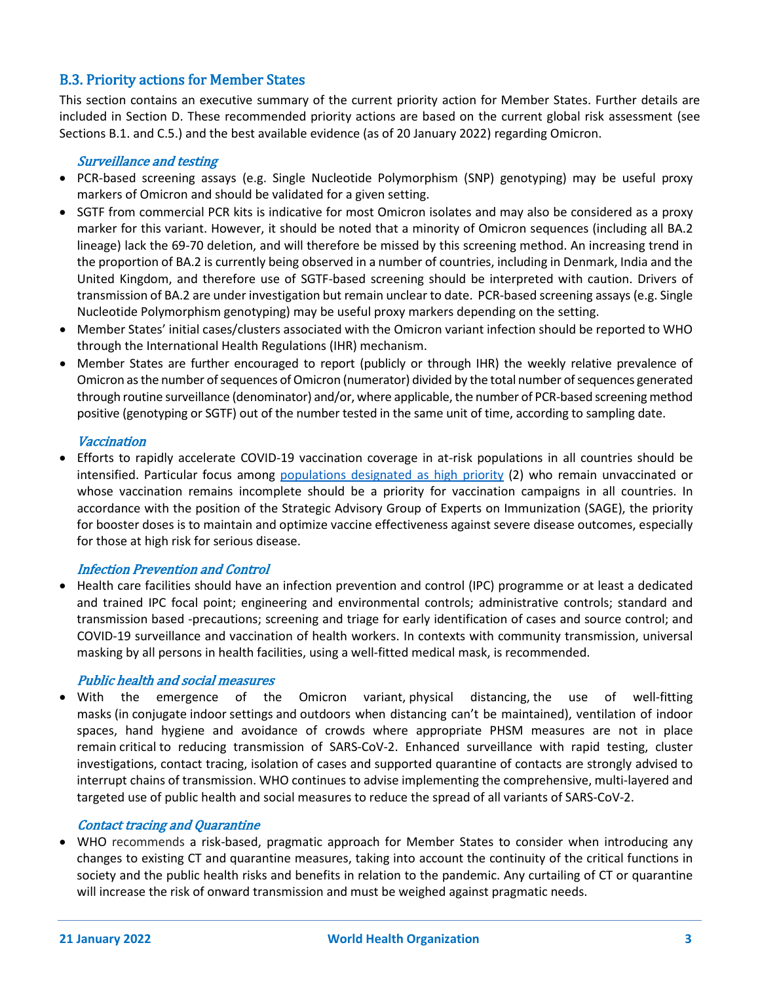# B.3. Priority actions for Member States

This section contains an executive summary of the current priority action for Member States. Further details are included in Section D. These recommended priority actions are based on the current global risk assessment (see Sections B.1. and C.5.) and the best available evidence (as of 20 January 2022) regarding Omicron.

#### Surveillance and testing

- PCR-based screening assays (e.g. Single Nucleotide Polymorphism (SNP) genotyping) may be useful proxy markers of Omicron and should be validated for a given setting.
- SGTF from commercial PCR kits is indicative for most Omicron isolates and may also be considered as a proxy marker for this variant. However, it should be noted that a minority of Omicron sequences (including all BA.2 lineage) lack the 69-70 deletion, and will therefore be missed by this screening method. An increasing trend in the proportion of BA.2 is currently being observed in a number of countries, including in Denmark, India and the United Kingdom, and therefore use of SGTF-based screening should be interpreted with caution. Drivers of transmission of BA.2 are under investigation but remain unclear to date. PCR-based screening assays (e.g. Single Nucleotide Polymorphism genotyping) may be useful proxy markers depending on the setting.
- Member States' initial cases/clusters associated with the Omicron variant infection should be reported to WHO through the International Health Regulations (IHR) mechanism.
- Member States are further encouraged to report (publicly or through IHR) the weekly relative prevalence of Omicron as the number of sequences of Omicron (numerator) divided by the total number of sequences generated through routine surveillance (denominator) and/or, where applicable, the number of PCR-based screening method positive (genotyping or SGTF) out of the number tested in the same unit of time, according to sampling date.

#### Vaccination

• Efforts to rapidly accelerate COVID-19 vaccination coverage in at-risk populations in all countries should be intensified. Particular focus among [populations](https://www.who.int/publications/i/item/who-sage-roadmap-for-prioritizing-uses-of-covid-19-vaccines-in-the-context-of-limited-supply) [designated as high priority](https://www.who.int/publications/i/item/who-sage-roadmap-for-prioritizing-uses-of-covid-19-vaccines-in-the-context-of-limited-supply) (2) who remain unvaccinated or whose vaccination remains incomplete should be a priority for vaccination campaigns in all countries. In accordance with the position of the Strategic Advisory Group of Experts on Immunization (SAGE), the priority for booster doses is to maintain and optimize vaccine effectiveness against severe disease outcomes, especially for those at high risk for serious disease.

#### Infection Prevention and Control

• Health care facilities should have an infection prevention and control (IPC) programme or at least a dedicated and trained IPC focal point; engineering and environmental controls; administrative controls; standard and transmission based -precautions; screening and triage for early identification of cases and source control; and COVID-19 surveillance and vaccination of health workers. In contexts with community transmission, universal masking by all persons in health facilities, using a well-fitted medical mask, is recommended.

#### Public health and social measures

• With the emergence of the Omicron variant, physical distancing, the use of well-fitting masks (in conjugate indoor settings and outdoors when distancing can't be maintained), ventilation of indoor spaces, hand hygiene and avoidance of crowds where appropriate PHSM measures are not in place remain critical to reducing transmission of SARS-CoV-2. Enhanced surveillance with rapid testing, cluster investigations, contact tracing, isolation of cases and supported quarantine of contacts are strongly advised to interrupt chains of transmission. WHO continues to advise implementing the comprehensive, multi-layered and targeted use of public health and social measures to reduce the spread of all variants of SARS-CoV-2.

#### Contact tracing and Quarantine

• WHO recommends a risk-based, pragmatic approach for Member States to consider when introducing any changes to existing CT and quarantine measures, taking into account the continuity of the critical functions in society and the public health risks and benefits in relation to the pandemic. Any curtailing of CT or quarantine will increase the risk of onward transmission and must be weighed against pragmatic needs.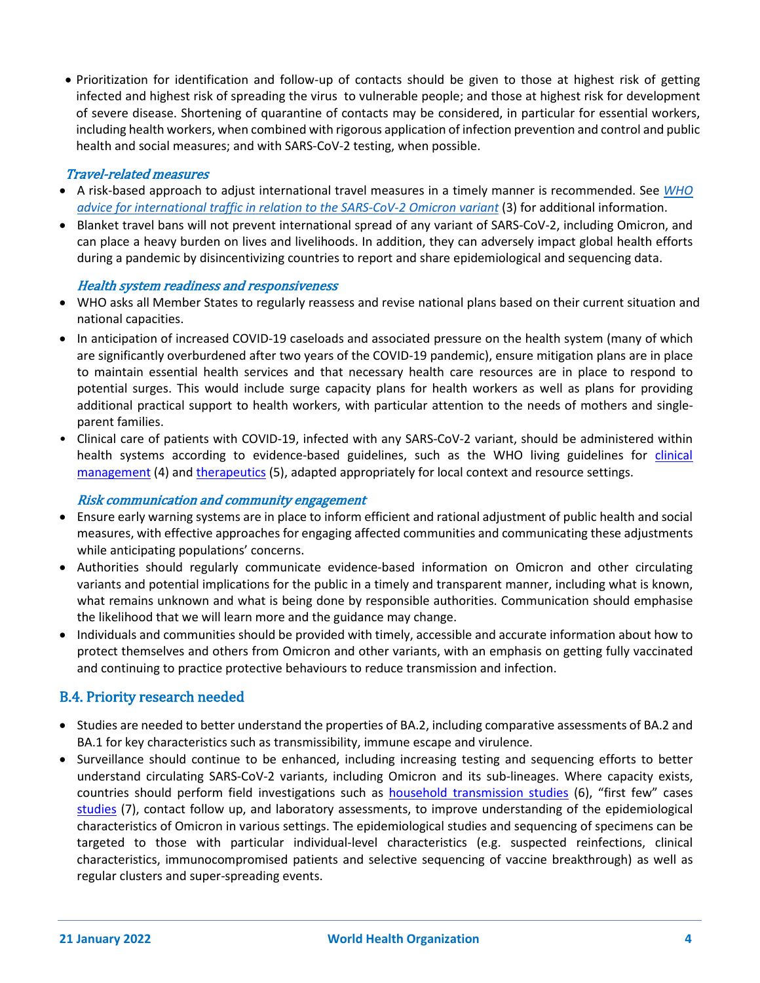• Prioritization for identification and follow-up of contacts should be given to those at highest risk of getting infected and highest risk of spreading the virus to vulnerable people; and those at highest risk for development of severe disease. Shortening of quarantine of contacts may be considered, in particular for essential workers, including health workers, when combined with rigorous application of infection prevention and control and public health and social measures; and with SARS-CoV-2 testing, when possible.

### Travel-related measures

- A risk-based approach to adjust international travel measures in a timely manner is recommended. See *[WHO](https://www.who.int/news-room/articles-detail/who-advice-for-international-traffic-in-relation-to-the-sars-cov-2-omicron-variant)  [advice for international traffic in relation to the SARS-CoV-2 Omicron variant](https://www.who.int/news-room/articles-detail/who-advice-for-international-traffic-in-relation-to-the-sars-cov-2-omicron-variant)* (3) for additional information.
- Blanket travel bans will not prevent international spread of any variant of SARS-CoV-2, including Omicron, and can place a heavy burden on lives and livelihoods. In addition, they can adversely impact global health efforts during a pandemic by disincentivizing countries to report and share epidemiological and sequencing data.

#### Health system readiness and responsiveness

- WHO asks all Member States to regularly reassess and revise national plans based on their current situation and national capacities.
- In anticipation of increased COVID-19 caseloads and associated pressure on the health system (many of which are significantly overburdened after two years of the COVID-19 pandemic), ensure mitigation plans are in place to maintain essential health services and that necessary health care resources are in place to respond to potential surges. This would include surge capacity plans for health workers as well as plans for providing additional practical support to health workers, with particular attention to the needs of mothers and singleparent families.
- Clinical care of patients with COVID-19, infected with any SARS-CoV-2 variant, should be administered within health systems according to evidence-based guidelines, such as the WHO living guidelines for clinical [management](https://www.who.int/publications/i/item/WHO-2019-nCoV-clinical-2021-2) (4) and [therapeutics](https://www.who.int/publications/i/item/WHO-2019-nCoV-therapeutics-2021.4) (5), adapted appropriately for local context and resource settings.

#### Risk communication and community engagement

- Ensure early warning systems are in place to inform efficient and rational adjustment of public health and social measures, with effective approaches for engaging affected communities and communicating these adjustments while anticipating populations' concerns.
- Authorities should regularly communicate evidence-based information on Omicron and other circulating variants and potential implications for the public in a timely and transparent manner, including what is known, what remains unknown and what is being done by responsible authorities. Communication should emphasise the likelihood that we will learn more and the guidance may change.
- Individuals and communities should be provided with timely, accessible and accurate information about how to protect themselves and others from Omicron and other variants, with an emphasis on getting fully vaccinated and continuing to practice protective behaviours to reduce transmission and infection.

# B.4. Priority research needed

- Studies are needed to better understand the properties of BA.2, including comparative assessments of BA.2 and BA.1 for key characteristics such as transmissibility, immune escape and virulence.
- Surveillance should continue to be enhanced, including increasing testing and sequencing efforts to better understand circulating SARS-CoV-2 variants, including Omicron and its sub-lineages. Where capacity exists, countries should perform field investigations such as [household transmission studies](https://www.who.int/publications/i/item/household-transmission-investigation-protocol-for-2019-novel-coronavirus-(2019-ncov)-infection) (6), "first [few" cases](https://www.who.int/publications/i/item/the-first-few-x-cases-and-contacts-(-ffx)-investigation-protocol-for-coronavirus-disease-2019-(-covid-19)-version-2.2)  [studies](https://www.who.int/publications/i/item/the-first-few-x-cases-and-contacts-(-ffx)-investigation-protocol-for-coronavirus-disease-2019-(-covid-19)-version-2.2) (7), contact follow up, and laboratory assessments, to improve understanding of the epidemiological characteristics of Omicron in various settings. The epidemiological studies and sequencing of specimens can be targeted to those with particular individual-level characteristics (e.g. suspected reinfections, clinical characteristics, immunocompromised patients and selective sequencing of vaccine breakthrough) as well as regular clusters and super-spreading events.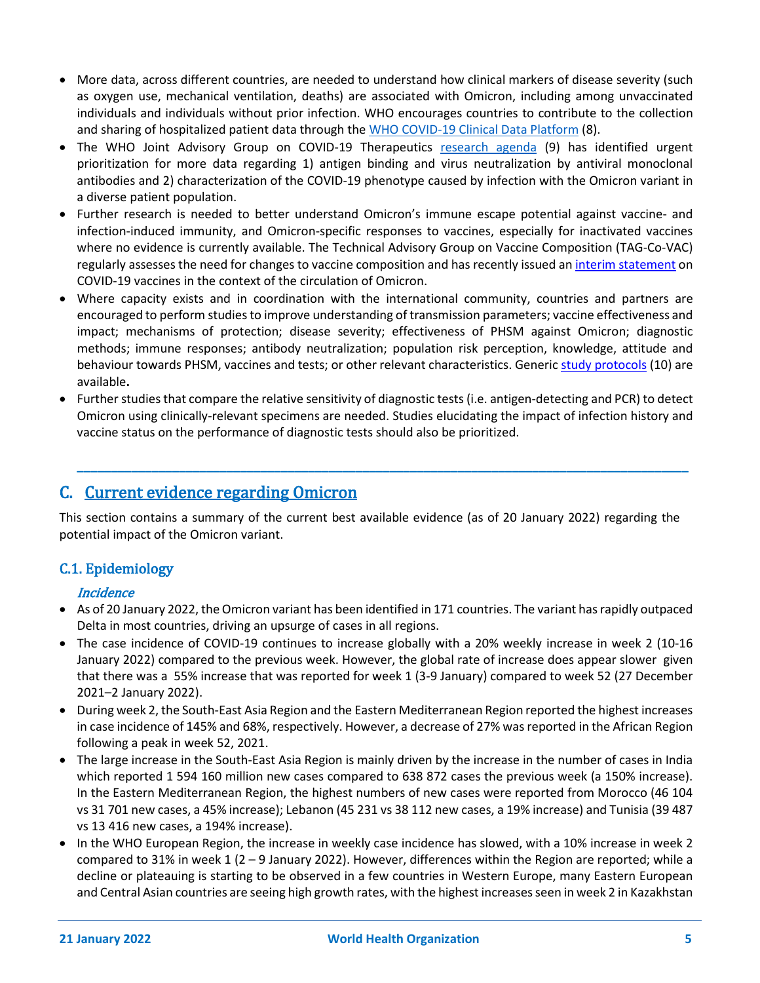- More data, across different countries, are needed to understand how clinical markers of disease severity (such as oxygen use, mechanical ventilation, deaths) are associated with Omicron, including among unvaccinated individuals and individuals without prior infection. WHO encourages countries to contribute to the collection and sharing of hospitalized patient data through the [WHO COVID-19 Clinical Data Platform](https://www.who.int/teams/health-care-readiness-clinical-unit/covid-19/data-platform) (8).
- The WHO Joint Advisory Group on COVID-19 Therapeutics [research agenda](https://www.who.int/publications/m/item/who-joint-advisory-group-on-covid-19-therapeutics-prioritization---draft-statement-on-the-possible-effects-of-the-new-sars-cov-2-omicron-variant-on-treatment-of-hospitalized-covid-19-patients) (9) has identified urgent prioritization for more data regarding 1) antigen binding and virus neutralization by antiviral monoclonal antibodies and 2) characterization of the COVID-19 phenotype caused by infection with the Omicron variant in a diverse patient population.
- Further research is needed to better understand Omicron's immune escape potential against vaccine- and infection-induced immunity, and Omicron-specific responses to vaccines, especially for inactivated vaccines where no evidence is currently available. The Technical Advisory Group on Vaccine Composition (TAG-Co-VAC) regularly assesses the need for changes to vaccine composition and has recently issued a[n interim statement](https://www.who.int/news/item/11-01-2022-interim-statement-on-covid-19-vaccines-in-the-context-of-the-circulation-of-the-omicron-sars-cov-2-variant-from-the-who-technical-advisory-group-on-covid-19-vaccine-composition) on COVID-19 vaccines in the context of the circulation of Omicron.
- Where capacity exists and in coordination with the international community, countries and partners are encouraged to perform studies to improve understanding of transmission parameters; vaccine effectiveness and impact; mechanisms of protection; disease severity; effectiveness of PHSM against Omicron; diagnostic methods; immune responses; antibody neutralization; population risk perception, knowledge, attitude and behaviour towards PHSM, vaccines and tests; or other relevant characteristics. Generic [study protocols](https://www.who.int/emergencies/diseases/novel-coronavirus-2019/technical-guidance/early-investigations) (10) are available**.**
- Further studies that compare the relative sensitivity of diagnostic tests (i.e. antigen-detecting and PCR) to detect Omicron using clinically-relevant specimens are needed. Studies elucidating the impact of infection history and vaccine status on the performance of diagnostic tests should also be prioritized.

**\_\_\_\_\_\_\_\_\_\_\_\_\_\_\_\_\_\_\_\_\_\_\_\_\_\_\_\_\_\_\_\_\_\_\_\_\_\_\_\_\_\_\_\_\_\_\_\_\_\_\_\_\_\_\_\_\_\_\_\_\_\_\_\_\_\_\_\_\_\_\_\_\_\_\_\_\_\_\_\_\_\_\_\_\_\_\_\_\_\_**

# C. Current evidence regarding Omicron

This section contains a summary of the current best available evidence (as of 20 January 2022) regarding the potential impact of the Omicron variant.

# C.1. Epidemiology

# **Incidence**

- As of 20 January 2022, the Omicron variant has been identified in 171 countries. The variant hasrapidly outpaced Delta in most countries, driving an upsurge of cases in all regions.
- The case incidence of COVID-19 continues to increase globally with a 20% weekly increase in week 2 (10-16 January 2022) compared to the previous week. However, the global rate of increase does appear slower given that there was a 55% increase that was reported for week 1 (3-9 January) compared to week 52 (27 December 2021–2 January 2022).
- During week 2, the South-East Asia Region and the Eastern Mediterranean Region reported the highest increases in case incidence of 145% and 68%, respectively. However, a decrease of 27% was reported in the African Region following a peak in week 52, 2021.
- The large increase in the South-East Asia Region is mainly driven by the increase in the number of cases in India which reported 1 594 160 million new cases compared to 638 872 cases the previous week (a 150% increase). In the Eastern Mediterranean Region, the highest numbers of new cases were reported from Morocco (46 104 vs 31 701 new cases, a 45% increase); Lebanon (45 231 vs 38 112 new cases, a 19% increase) and Tunisia (39 487 vs 13 416 new cases, a 194% increase).
- In the WHO European Region, the increase in weekly case incidence has slowed, with a 10% increase in week 2 compared to 31% in week 1 (2 – 9 January 2022). However, differences within the Region are reported; while a decline or plateauing is starting to be observed in a few countries in Western Europe, many Eastern European and Central Asian countries are seeing high growth rates, with the highest increases seen in week 2 in Kazakhstan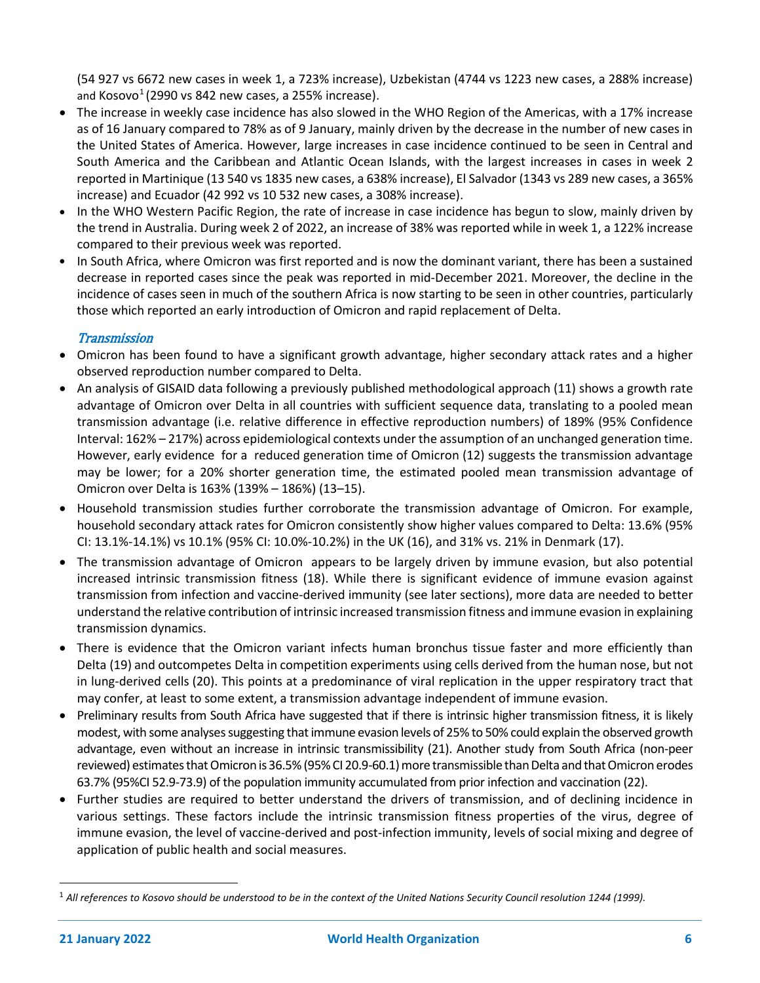(54 927 vs 6672 new cases in week 1, a 723% increase), Uzbekistan (4744 vs 1223 new cases, a 288% increase) and Kosovo $<sup>1</sup>$  $<sup>1</sup>$  $<sup>1</sup>$  (2990 vs 842 new cases, a 255% increase).</sup>

- The increase in weekly case incidence has also slowed in the WHO Region of the Americas, with a 17% increase as of 16 January compared to 78% as of 9 January, mainly driven by the decrease in the number of new cases in the United States of America. However, large increases in case incidence continued to be seen in Central and South America and the Caribbean and Atlantic Ocean Islands, with the largest increases in cases in week 2 reported in Martinique (13 540 vs 1835 new cases, a 638% increase), El Salvador (1343 vs 289 new cases, a 365% increase) and Ecuador (42 992 vs 10 532 new cases, a 308% increase).
- In the WHO Western Pacific Region, the rate of increase in case incidence has begun to slow, mainly driven by the trend in Australia. During week 2 of 2022, an increase of 38% was reported while in week 1, a 122% increase compared to their previous week was reported.
- In South Africa, where Omicron was first reported and is now the dominant variant, there has been a sustained decrease in reported cases since the peak was reported in mid-December 2021. Moreover, the decline in the incidence of cases seen in much of the southern Africa is now starting to be seen in other countries, particularly those which reported an early introduction of Omicron and rapid replacement of Delta.

# **Transmission**

- Omicron has been found to have a significant growth advantage, higher secondary attack rates and a higher observed reproduction number compared to Delta.
- An analysis of GISAID data following a previously published methodological approach (11) shows a growth rate advantage of Omicron over Delta in all countries with sufficient sequence data, translating to a pooled mean transmission advantage (i.e. relative difference in effective reproduction numbers) of 189% (95% Confidence Interval: 162% – 217%) across epidemiological contexts under the assumption of an unchanged generation time. However, early evidence for a reduced generation time of Omicron (12) suggests the transmission advantage may be lower; for a 20% shorter generation time, the estimated pooled mean transmission advantage of Omicron over Delta is 163% (139% – 186%) (13–15).
- Household transmission studies further corroborate the transmission advantage of Omicron. For example, household secondary attack rates for Omicron consistently show higher values compared to Delta: 13.6% (95% CI: 13.1%-14.1%) vs 10.1% (95% CI: 10.0%-10.2%) in the UK (16), and 31% vs. 21% in Denmark (17).
- The transmission advantage of Omicron appears to be largely driven by immune evasion, but also potential increased intrinsic transmission fitness (18). While there is significant evidence of immune evasion against transmission from infection and vaccine-derived immunity (see later sections), more data are needed to better understand the relative contribution of intrinsic increased transmission fitness and immune evasion in explaining transmission dynamics.
- There is evidence that the Omicron variant infects human bronchus tissue faster and more efficiently than Delta (19) and outcompetes Delta in competition experiments using cells derived from the human nose, but not in lung-derived cells (20). This points at a predominance of viral replication in the upper respiratory tract that may confer, at least to some extent, a transmission advantage independent of immune evasion.
- Preliminary results from South Africa have suggested that if there is intrinsic higher transmission fitness, it is likely modest, with some analyses suggesting that immune evasion levels of 25% to 50% could explain the observed growth advantage, even without an increase in intrinsic transmissibility (21). Another study from South Africa (non-peer reviewed) estimates that Omicron is 36.5% (95% CI 20.9-60.1) more transmissible than Delta and that Omicron erodes 63.7% (95%CI 52.9-73.9) of the population immunity accumulated from prior infection and vaccination (22).
- Further studies are required to better understand the drivers of transmission, and of declining incidence in various settings. These factors include the intrinsic transmission fitness properties of the virus, degree of immune evasion, the level of vaccine-derived and post-infection immunity, levels of social mixing and degree of application of public health and social measures.

<span id="page-5-0"></span><sup>1</sup> *All references to Kosovo should be understood to be in the context of the United Nations Security Council resolution 1244 (1999).*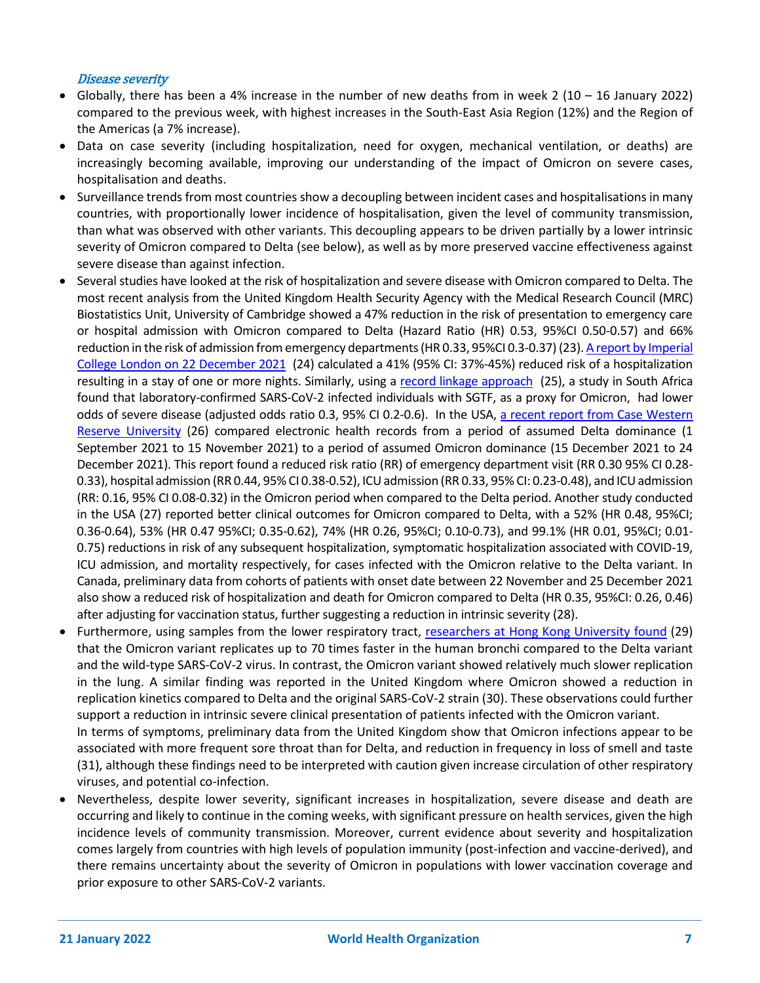#### Disease severity

- Globally, there has been a 4% increase in the number of new deaths from in week 2 (10 16 January 2022) compared to the previous week, with highest increases in the South-East Asia Region (12%) and the Region of the Americas (a 7% increase).
- Data on case severity (including hospitalization, need for oxygen, mechanical ventilation, or deaths) are increasingly becoming available, improving our understanding of the impact of Omicron on severe cases, hospitalisation and deaths.
- Surveillance trends from most countries show a decoupling between incident cases and hospitalisations in many countries, with proportionally lower incidence of hospitalisation, given the level of community transmission, than what was observed with other variants. This decoupling appears to be driven partially by a lower intrinsic severity of Omicron compared to Delta (see below), as well as by more preserved vaccine effectiveness against severe disease than against infection.
- Several studies have looked at the risk of hospitalization and severe disease with Omicron compared to Delta. The most recent analysis from the United Kingdom Health Security Agency with the Medical Research Council (MRC) Biostatistics Unit, University of Cambridge showed a 47% reduction in the risk of presentation to emergency care or hospital admission with Omicron compared to Delta (Hazard Ratio (HR) 0.53, 95%CI 0.50-0.57) and 66% reduction in the risk of admission from emergency departments (HR 0.33, 95%CI 0.3-0.37) (23)[. A report by Imperial](https://www.imperial.ac.uk/media/imperial-college/medicine/mrc-gida/2021-12-22-COVID19-Report-50.pdf)  [College London on 22 December 2021](https://www.imperial.ac.uk/media/imperial-college/medicine/mrc-gida/2021-12-22-COVID19-Report-50.pdf) (24) calculated a 41% (95% CI: 37%-45%) reduced risk of a hospitalization resulting in a stay of one or more nights. Similarly, using a [record linkage approach](https://www.medrxiv.org/content/10.1101/2021.12.21.21268116v1) (25), a study in South Africa found that laboratory-confirmed SARS-CoV-2 infected individuals with SGTF, as a proxy for Omicron, had lower odds of severe disease (adjusted odds ratio 0.3, 95% CI 0.2-0.6). In the USA, a recent report from Case Western [Reserve University](https://www.medrxiv.org/content/10.1101/2021.12.30.21268495v1.full.pdf) (26) compared electronic health records from a period of assumed Delta dominance (1 September 2021 to 15 November 2021) to a period of assumed Omicron dominance (15 December 2021 to 24 December 2021). This report found a reduced risk ratio (RR) of emergency department visit (RR 0.30 95% CI 0.28- 0.33), hospital admission (RR 0.44, 95% CI 0.38-0.52), ICU admission (RR 0.33, 95% CI: 0.23-0.48), and ICU admission (RR: 0.16, 95% CI 0.08-0.32) in the Omicron period when compared to the Delta period. Another study conducted in the USA (27) reported better clinical outcomes for Omicron compared to Delta, with a 52% (HR 0.48, 95%CI; 0.36-0.64), 53% (HR 0.47 95%CI; 0.35-0.62), 74% (HR 0.26, 95%CI; 0.10-0.73), and 99.1% (HR 0.01, 95%CI; 0.01- 0.75) reductions in risk of any subsequent hospitalization, symptomatic hospitalization associated with COVID-19, ICU admission, and mortality respectively, for cases infected with the Omicron relative to the Delta variant. In Canada, preliminary data from cohorts of patients with onset date between 22 November and 25 December 2021 also show a reduced risk of hospitalization and death for Omicron compared to Delta (HR 0.35, 95%CI: 0.26, 0.46) after adjusting for vaccination status, further suggesting a reduction in intrinsic severity (28).
- Furthermore, using samples from the lower respiratory tract, [researchers at Hong Kong University found](https://www.med.hku.hk/en/news/press/20211215-omicron-sars-cov-2-infection) (29) that the Omicron variant replicates up to 70 times faster in the human bronchi compared to the Delta variant and the wild-type SARS-CoV-2 virus. In contrast, the Omicron variant showed relatively much slower replication in the lung. A similar finding was reported in the United Kingdom where Omicron showed a reduction in replication kinetics compared to Delta and the original SARS-CoV-2 strain (30). These observations could further support a reduction in intrinsic severe clinical presentation of patients infected with the Omicron variant. In terms of symptoms, preliminary data from the United Kingdom show that Omicron infections appear to be associated with more frequent sore throat than for Delta, and reduction in frequency in loss of smell and taste
- (31), although these findings need to be interpreted with caution given increase circulation of other respiratory viruses, and potential co-infection. • Nevertheless, despite lower severity, significant increases in hospitalization, severe disease and death are occurring and likely to continue in the coming weeks, with significant pressure on health services, given the high incidence levels of community transmission. Moreover, current evidence about severity and hospitalization comes largely from countries with high levels of population immunity (post-infection and vaccine-derived), and there remains uncertainty about the severity of Omicron in populations with lower vaccination coverage and

prior exposure to other SARS-CoV-2 variants.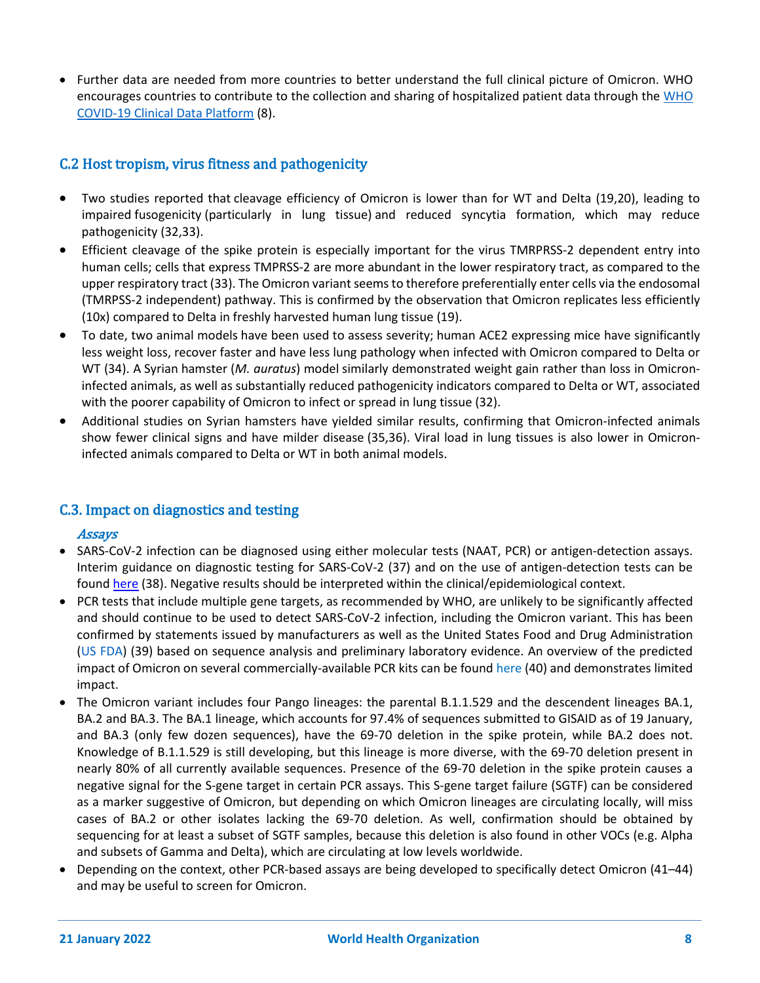• Further data are needed from more countries to better understand the full clinical picture of Omicron. WHO encourages countries to contribute to the collection and sharing of hospitalized patient data through th[e WHO](https://www.who.int/teams/health-care-readiness-clinical-unit/covid-19/data-platform)  [COVID-19 Clinical Data Platform](https://www.who.int/teams/health-care-readiness-clinical-unit/covid-19/data-platform) (8).

# C.2 Host tropism, virus fitness and pathogenicity

- Two studies reported that cleavage efficiency of Omicron is lower than for WT and Delta (19,20), leading to impaired fusogenicity (particularly in lung tissue) and reduced syncytia formation, which may reduce pathogenicity (32,33).
- Efficient cleavage of the spike protein is especially important for the virus TMRPRSS-2 dependent entry into human cells; cells that express TMPRSS-2 are more abundant in the lower respiratory tract, as compared to the upper respiratory tract (33). The Omicron variant seems to therefore preferentially enter cells via the endosomal (TMRPSS-2 independent) pathway. This is confirmed by the observation that Omicron replicates less efficiently (10x) compared to Delta in freshly harvested human lung tissue (19).
- To date, two animal models have been used to assess severity; human ACE2 expressing mice have significantly less weight loss, recover faster and have less lung pathology when infected with Omicron compared to Delta or WT (34). A Syrian hamster (*M. auratus*) model similarly demonstrated weight gain rather than loss in Omicroninfected animals, as well as substantially reduced pathogenicity indicators compared to Delta or WT, associated with the poorer capability of Omicron to infect or spread in lung tissue (32).
- Additional studies on Syrian hamsters have yielded similar results, confirming that Omicron-infected animals show fewer clinical signs and have milder disease (35,36). Viral load in lung tissues is also lower in Omicroninfected animals compared to Delta or WT in both animal models.

# C.3. Impact on diagnostics and testing

#### Assays

- SARS-CoV-2 infection can be diagnosed using either molecular tests (NAAT, PCR) or antigen-detection assays. Interim guidance on diagnostic testing for SARS-CoV-2 (37) and on the use of antigen-detection tests can be found [here](https://www.who.int/publications/i/item/antigen-detection-in-the-diagnosis-of-sars-cov-2infection-using-rapid-immunoassays) (38). Negative results should be interpreted within the clinical/epidemiological context.
- PCR tests that include multiple gene targets, as recommended by WHO, are unlikely to be significantly affected and should continue to be used to detect SARS-CoV-2 infection, including the Omicron variant. This has been confirmed by statements issued by manufacturers as well as the United States Food and Drug Administration [\(US FDA\)](https://www.fda.gov/medical-devices/coronavirus-covid-19-and-medical-devices/sars-cov-2-viral-mutations-impact-covid-19-tests#omicron) (39) based on sequence analysis and preliminary laboratory evidence. An overview of the predicted impact of Omicron on several commercially-available PCR kits can be found here (40) and demonstrates limited impact.
- The Omicron variant includes four Pango lineages: the parental B.1.1.529 and the descendent lineages BA.1, BA.2 and BA.3. The BA.1 lineage, which accounts for 97.4% of sequences submitted to GISAID as of 19 January, and BA.3 (only few dozen sequences), have the 69-70 deletion in the spike protein, while BA.2 does not. Knowledge of B.1.1.529 is still developing, but this lineage is more diverse, with the 69-70 deletion present in nearly 80% of all currently available sequences. Presence of the 69-70 deletion in the spike protein causes a negative signal for the S-gene target in certain PCR assays. This S-gene target failure (SGTF) can be considered as a marker suggestive of Omicron, but depending on which Omicron lineages are circulating locally, will miss cases of BA.2 or other isolates lacking the 69-70 deletion. As well, confirmation should be obtained by sequencing for at least a subset of SGTF samples, because this deletion is also found in other VOCs (e.g. Alpha and subsets of Gamma and Delta), which are circulating at low levels worldwide.
- Depending on the context, other PCR-based assays are being developed to specifically detect Omicron (41–44) and may be useful to screen for Omicron.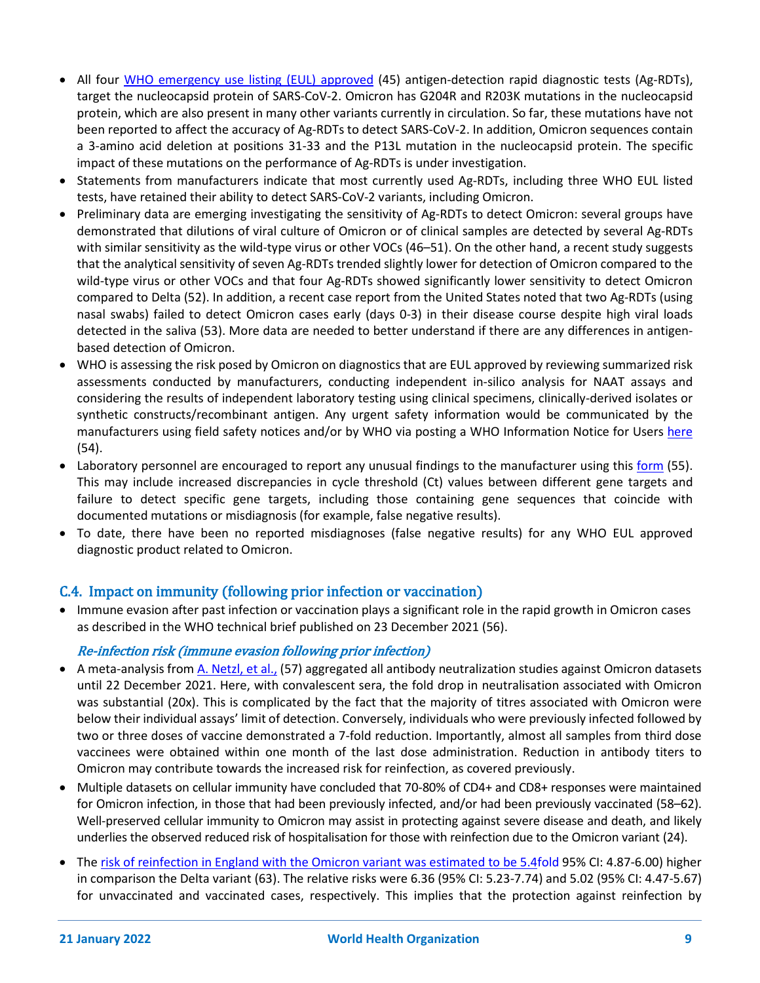- All four [WHO emergency use listing \(EUL\) approved](https://extranet.who.int/pqweb/sites/default/files/documents/211125_EUL_SARS-CoV-2_products_list.pdf) (45) antigen-detection rapid diagnostic tests (Ag-RDTs), target the nucleocapsid protein of SARS-CoV-2. Omicron has G204R and R203K mutations in the nucleocapsid protein, which are also present in many other variants currently in circulation. So far, these mutations have not been reported to affect the accuracy of Ag-RDTs to detect SARS-CoV-2. In addition, Omicron sequences contain a 3-amino acid deletion at positions 31-33 and the P13L mutation in the nucleocapsid protein. The specific impact of these mutations on the performance of Ag-RDTs is under investigation.
- Statements from manufacturers indicate that most currently used Ag-RDTs, including three WHO EUL listed tests, have retained their ability to detect SARS-CoV-2 variants, including Omicron.
- Preliminary data are emerging investigating the sensitivity of Ag-RDTs to detect Omicron: several groups have demonstrated that dilutions of viral culture of Omicron or of clinical samples are detected by several Ag-RDTs with similar sensitivity as the wild-type virus or other VOCs (46–51). On the other hand, a recent study suggests that the analytical sensitivity of seven Ag-RDTs trended slightly lower for detection of Omicron compared to the wild-type virus or other VOCs and that four Ag-RDTs showed significantly lower sensitivity to detect Omicron compared to Delta (52). In addition, a recent case report from the United States noted that two Ag-RDTs (using nasal swabs) failed to detect Omicron cases early (days 0-3) in their disease course despite high viral loads detected in the saliva (53). More data are needed to better understand if there are any differences in antigenbased detection of Omicron.
- WHO is assessing the risk posed by Omicron on diagnostics that are EUL approved by reviewing summarized risk assessments conducted by manufacturers, conducting independent in-silico analysis for NAAT assays and considering the results of independent laboratory testing using clinical specimens, clinically-derived isolates or synthetic constructs/recombinant antigen. Any urgent safety information would be communicated by the manufacturers using field safety notices and/or by WHO via posting a WHO Information Notice for Users [here](https://www.who.int/teams/regulation-prequalification/incidents-and-SF/safety-information-for-medical-devices-including-in-vitro-diagnostics) (54).
- Laboratory personnel are encouraged to report any unusual findings to the manufacturer using this [form](https://cdn.who.int/media/docs/default-source/substandard-and-falsified/pms_user_feedback_form.docx?sfvrsn=3856959_17) (55). This may include increased discrepancies in cycle threshold (Ct) values between different gene targets and failure to detect specific gene targets, including those containing gene sequences that coincide with documented mutations or misdiagnosis (for example, false negative results).
- To date, there have been no reported misdiagnoses (false negative results) for any WHO EUL approved diagnostic product related to Omicron.

# C.4. Impact on immunity (following prior infection or vaccination)

• Immune evasion after past infection or vaccination plays a significant role in the rapid growth in Omicron cases as described in the WHO technical brief published on 23 December 2021 (56).

# Re-infection risk (immune evasion following prior infection)

- A meta-analysis from [A. Netzl,](https://www.biorxiv.org/content/10.1101/2021.12.31.474032v1.full.pdf) et al., (57) aggregated all antibody neutralization studies against Omicron datasets until 22 December 2021. Here, with convalescent sera, the fold drop in neutralisation associated with Omicron was substantial (20x). This is complicated by the fact that the majority of titres associated with Omicron were below their individual assays' limit of detection. Conversely, individuals who were previously infected followed by two or three doses of vaccine demonstrated a 7-fold reduction. Importantly, almost all samples from third dose vaccinees were obtained within one month of the last dose administration. Reduction in antibody titers to Omicron may contribute towards the increased risk for reinfection, as covered previously.
- Multiple datasets on cellular immunity have concluded that 70-80% of CD4+ and CD8+ responses were maintained for Omicron infection, in those that had been previously infected, and/or had been previously vaccinated (58–62). Well-preserved cellular immunity to Omicron may assist in protecting against severe disease and death, and likely underlies the observed reduced risk of hospitalisation for those with reinfection due to the Omicron variant (24).
- The [risk of reinfection in England with the Omicron variant was estimated to be 5.4f](https://www.imperial.ac.uk/media/imperial-college/medicine/mrc-gida/2021-12-16-COVID19-Report-49.pdf)old 95% CI: 4.87-6.00) higher in comparison the Delta variant (63). The relative risks were 6.36 (95% CI: 5.23-7.74) and 5.02 (95% CI: 4.47-5.67) for unvaccinated and vaccinated cases, respectively. This implies that the protection against reinfection by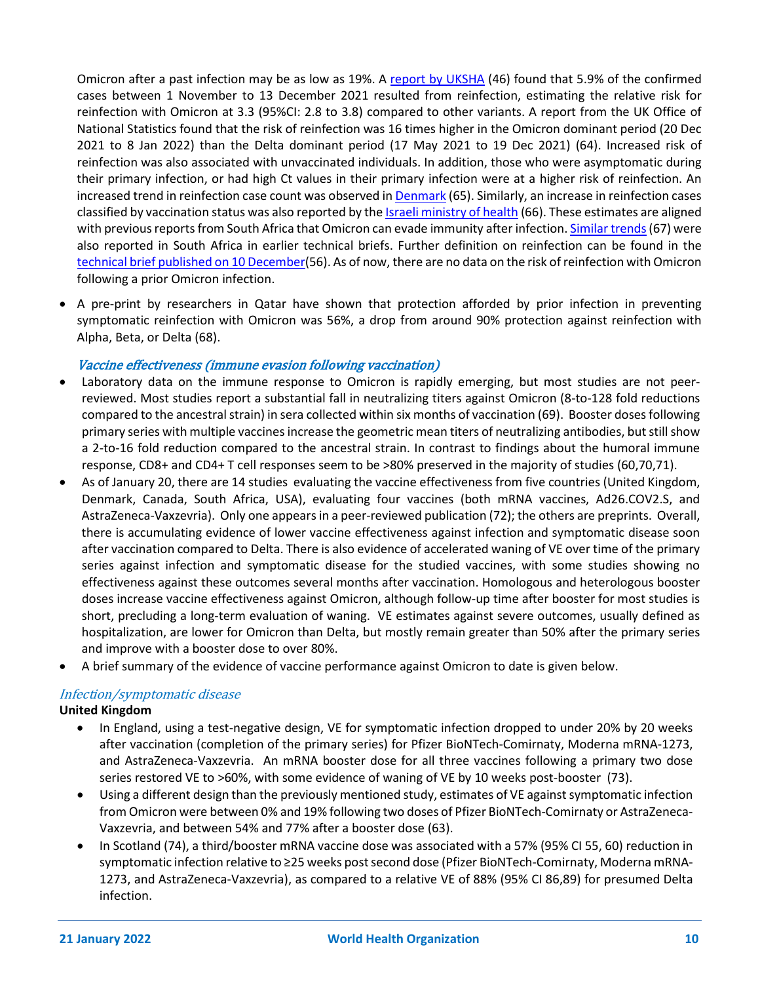Omicron after a past infection may be as low as 19%. A [report](https://assets.publishing.service.gov.uk/government/uploads/system/uploads/attachment_data/file/1042688/RA_Technical_Briefing_32_DRAFT_17_December_2021_2021_12_17.pdf) [by UKSHA](https://assets.publishing.service.gov.uk/government/uploads/system/uploads/attachment_data/file/1042688/RA_Technical_Briefing_32_DRAFT_17_December_2021_2021_12_17.pdf) (46) found that 5.9% of the confirmed cases between 1 November to 13 December 2021 resulted from reinfection, estimating the relative risk for reinfection with Omicron at 3.3 (95%CI: 2.8 to 3.8) compared to other variants. A report from the UK Office of National Statistics found that the risk of reinfection was 16 times higher in the Omicron dominant period (20 Dec 2021 to 8 Jan 2022) than the Delta dominant period (17 May 2021 to 19 Dec 2021) (64). Increased risk of reinfection was also associated with unvaccinated individuals. In addition, those who were asymptomatic during their primary infection, or had high Ct values in their primary infection were at a higher risk of reinfection. An increased trend in reinfection case count was observed i[n Denmark](https://www.ssi.dk/aktuelt/nyheder/2021/reinfektioner-indgar-nu-i-statens-serum-instituts-daglige-overvagning) (65). Similarly, an increase in reinfection cases classified by vaccination status was also reported by the Israeli [ministry of health](https://datadashboard.health.gov.il/COVID-19/general?tileName=dailyReturnSick) (66). These estimates are aligned with previous reports from South Africa that Omicron can evade immunity after infection. [Similar trends\(](https://www.medrxiv.org/content/10.1101/2021.11.11.21266068v2)67) were also reported in South Africa in earlier technical briefs. Further definition on reinfection can be found in the [technical brief published on 10 December\(](https://www.who.int/docs/default-source/coronaviruse/20211208-global-technical-brief-and-priority-action-on-omicron---final_rev_2021-12-11.pdf?sfvrsn=f28aa23a_3&download=true)56). As of now, there are no data on the risk of reinfection with Omicron following a prior Omicron infection.

• A pre-print by researchers in Qatar have shown that protection afforded by prior infection in preventing symptomatic reinfection with Omicron was 56%, a drop from around 90% protection against reinfection with Alpha, Beta, or Delta (68).

### Vaccine effectiveness (immune evasion following vaccination)

- Laboratory data on the immune response to Omicron is rapidly emerging, but most studies are not peerreviewed. Most studies report a substantial fall in neutralizing titers against Omicron (8-to-128 fold reductions compared to the ancestral strain) in sera collected within six months of vaccination (69). Booster doses following primary series with multiple vaccines increase the geometric mean titers of neutralizing antibodies, but still show a 2-to-16 fold reduction compared to the ancestral strain. In contrast to findings about the humoral immune response, CD8+ and CD4+ T cell responses seem to be >80% preserved in the majority of studies (60,70,71).
- As of January 20, there are 14 studies evaluating the vaccine effectiveness from five countries (United Kingdom, Denmark, Canada, South Africa, USA), evaluating four vaccines (both mRNA vaccines, Ad26.COV2.S, and AstraZeneca-Vaxzevria). Only one appears in a peer-reviewed publication (72); the others are preprints. Overall, there is accumulating evidence of lower vaccine effectiveness against infection and symptomatic disease soon after vaccination compared to Delta. There is also evidence of accelerated waning of VE over time of the primary series against infection and symptomatic disease for the studied vaccines, with some studies showing no effectiveness against these outcomes several months after vaccination. Homologous and heterologous booster doses increase vaccine effectiveness against Omicron, although follow-up time after booster for most studies is short, precluding a long-term evaluation of waning. VE estimates against severe outcomes, usually defined as hospitalization, are lower for Omicron than Delta, but mostly remain greater than 50% after the primary series and improve with a booster dose to over 80%.
- A brief summary of the evidence of vaccine performance against Omicron to date is given below.

#### Infection/symptomatic disease

#### **United Kingdom**

- In England, using a test-negative design, VE for symptomatic infection dropped to under 20% by 20 weeks after vaccination (completion of the primary series) for Pfizer BioNTech-Comirnaty, Moderna mRNA-1273, and AstraZeneca-Vaxzevria. An mRNA booster dose for all three vaccines following a primary two dose series restored VE to >60%, with some evidence of waning of VE by 10 weeks post-booster (73).
- Using a different design than the previously mentioned study, estimates of VE against symptomatic infection from Omicron were between 0% and 19% following two doses of Pfizer BioNTech-Comirnaty or AstraZeneca-Vaxzevria, and between 54% and 77% after a booster dose (63).
- In Scotland (74), a third/booster mRNA vaccine dose was associated with a 57% (95% CI 55, 60) reduction in symptomatic infection relative to ≥25 weeks post second dose (Pfizer BioNTech-Comirnaty, Moderna mRNA-1273, and AstraZeneca-Vaxzevria), as compared to a relative VE of 88% (95% CI 86,89) for presumed Delta infection.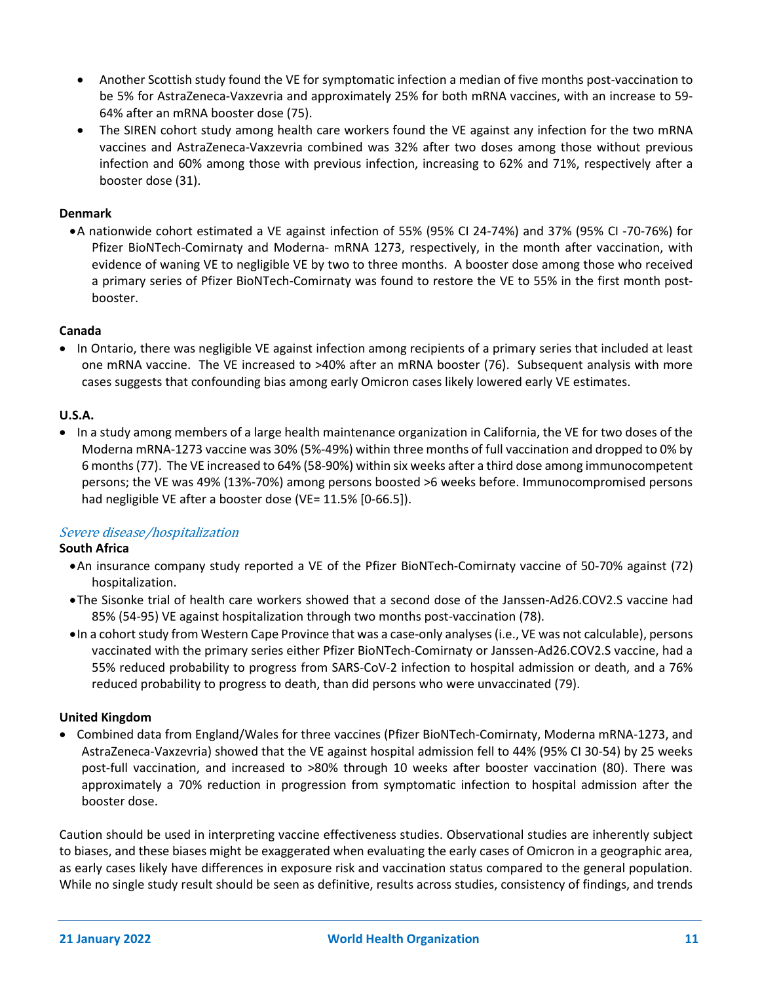- Another Scottish study found the VE for symptomatic infection a median of five months post-vaccination to be 5% for AstraZeneca-Vaxzevria and approximately 25% for both mRNA vaccines, with an increase to 59- 64% after an mRNA booster dose (75).
- The SIREN cohort study among health care workers found the VE against any infection for the two mRNA vaccines and AstraZeneca-Vaxzevria combined was 32% after two doses among those without previous infection and 60% among those with previous infection, increasing to 62% and 71%, respectively after a booster dose (31).

#### **Denmark**

•A nationwide cohort estimated a VE against infection of 55% (95% CI 24-74%) and 37% (95% CI -70-76%) for Pfizer BioNTech-Comirnaty and Moderna- mRNA 1273, respectively, in the month after vaccination, with evidence of waning VE to negligible VE by two to three months. A booster dose among those who received a primary series of Pfizer BioNTech-Comirnaty was found to restore the VE to 55% in the first month postbooster.

#### **Canada**

• In Ontario, there was negligible VE against infection among recipients of a primary series that included at least one mRNA vaccine. The VE increased to >40% after an mRNA booster (76). Subsequent analysis with more cases suggests that confounding bias among early Omicron cases likely lowered early VE estimates.

#### **U.S.A.**

• In a study among members of a large health maintenance organization in California, the VE for two doses of the Moderna mRNA-1273 vaccine was 30% (5%-49%) within three months of full vaccination and dropped to 0% by 6 months(77). The VE increased to 64% (58-90%) within six weeks after a third dose among immunocompetent persons; the VE was 49% (13%-70%) among persons boosted >6 weeks before. Immunocompromised persons had negligible VE after a booster dose (VE= 11.5% [0-66.5]).

#### Severe disease/hospitalization

#### **South Africa**

- •An insurance company study reported a VE of the Pfizer BioNTech-Comirnaty vaccine of 50-70% against (72) hospitalization.
- •The Sisonke trial of health care workers showed that a second dose of the Janssen-Ad26.COV2.S vaccine had 85% (54-95) VE against hospitalization through two months post-vaccination (78).
- •In a cohort study from Western Cape Province that was a case-only analyses (i.e., VE was not calculable), persons vaccinated with the primary series either Pfizer BioNTech-Comirnaty or Janssen-Ad26.COV2.S vaccine, had a 55% reduced probability to progress from SARS-CoV-2 infection to hospital admission or death, and a 76% reduced probability to progress to death, than did persons who were unvaccinated (79).

#### **United Kingdom**

• Combined data from England/Wales for three vaccines (Pfizer BioNTech-Comirnaty, Moderna mRNA-1273, and AstraZeneca-Vaxzevria) showed that the VE against hospital admission fell to 44% (95% CI 30-54) by 25 weeks post-full vaccination, and increased to >80% through 10 weeks after booster vaccination (80). There was approximately a 70% reduction in progression from symptomatic infection to hospital admission after the booster dose.

Caution should be used in interpreting vaccine effectiveness studies. Observational studies are inherently subject to biases, and these biases might be exaggerated when evaluating the early cases of Omicron in a geographic area, as early cases likely have differences in exposure risk and vaccination status compared to the general population. While no single study result should be seen as definitive, results across studies, consistency of findings, and trends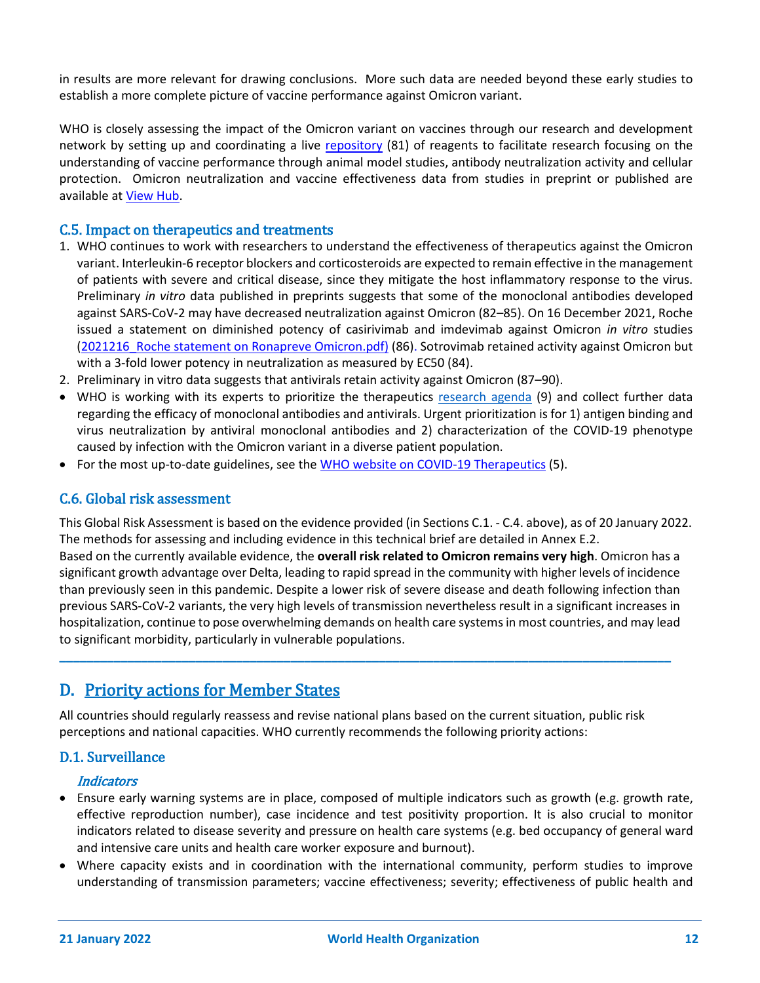in results are more relevant for drawing conclusions. More such data are needed beyond these early studies to establish a more complete picture of vaccine performance against Omicron variant.

WHO is closely assessing the impact of the Omicron variant on vaccines through our research and development network by setting up and coordinating a [live repository](https://www.who.int/publications/m/item/repository-of-omicron-biological-materials-for-in-vitro-and-in-vivo-studies) (81) of reagents to facilitate research focusing on the understanding of vaccine performance through animal model studies, antibody neutralization activity and cellular protection. Omicron neutralization and vaccine effectiveness data from studies in preprint or published are available at [View Hub.](https://view-hub.org/)

# C.5. Impact on therapeutics and treatments

- 1. WHO continues to work with researchers to understand the effectiveness of therapeutics against the Omicron variant. Interleukin-6 receptor blockers and corticosteroids are expected to remain effective in the management of patients with severe and critical disease, since they mitigate the host inflammatory response to the virus. Preliminary *in vitro* data published in preprints suggests that some of the monoclonal antibodies developed against SARS-CoV-2 may have decreased neutralization against Omicron (82–85). On 16 December 2021, Roche issued a statement on diminished potency of casirivimab and imdevimab against Omicron *in vitro* studies (2021216 Roche statement on Ronapreve Omicron.pdf) (86). Sotrovimab retained activity against Omicron but with a 3-fold lower potency in neutralization as measured by EC50 (84).
- 2. Preliminary in vitro data suggests that antivirals retain activity against Omicron (87–90).
- WHO is working with its experts to prioritize the therapeutics [research agenda](https://www.who.int/publications/m/item/who-joint-advisory-group-on-covid-19-therapeutics-prioritization---draft-statement-on-the-possible-effects-of-the-new-sars-cov-2-omicron-variant-on-treatment-of-hospitalized-covid-19-patients) (9) and collect further data regarding the efficacy of monoclonal antibodies and antivirals. Urgent prioritization is for 1) antigen binding and virus neutralization by antiviral monoclonal antibodies and 2) characterization of the COVID-19 phenotype caused by infection with the Omicron variant in a diverse patient population.
- For the most up-to-date guidelines, see the [WHO website on COVID-19 Therapeutics](https://www.who.int/teams/health-care-readiness-clinical-unit/covid-19/therapeutics) (5).

### C.6. Global risk assessment

This Global Risk Assessment is based on the evidence provided (in Sections C.1. - C.4. above), as of 20 January 2022. The methods for assessing and including evidence in this technical brief are detailed in Annex E.2. Based on the currently available evidence, the **overall risk related to Omicron remains very high**. Omicron has a significant growth advantage over Delta, leading to rapid spread in the community with higher levels of incidence than previously seen in this pandemic. Despite a lower risk of severe disease and death following infection than previous SARS-CoV-2 variants, the very high levels of transmission nevertheless result in a significant increases in hospitalization, continue to pose overwhelming demands on health care systems in most countries, and may lead to significant morbidity, particularly in vulnerable populations.

# D. Priority actions for Member States

All countries should regularly reassess and revise national plans based on the current situation, public risk perceptions and national capacities. WHO currently recommends the following priority actions:

**\_\_\_\_\_\_\_\_\_\_\_\_\_\_\_\_\_\_\_\_\_\_\_\_\_\_\_\_\_\_\_\_\_\_\_\_\_\_\_\_\_\_\_\_\_\_\_\_\_\_\_\_\_\_\_\_\_\_\_\_\_\_\_\_\_\_\_\_\_\_\_\_\_\_\_\_\_\_\_\_\_\_\_\_\_\_\_\_\_\_**

### D.1. Surveillance

#### **Indicators**

- Ensure early warning systems are in place, composed of multiple indicators such as growth (e.g. growth rate, effective reproduction number), case incidence and test positivity proportion. It is also crucial to monitor indicators related to disease severity and pressure on health care systems (e.g. bed occupancy of general ward and intensive care units and health care worker exposure and burnout).
- Where capacity exists and in coordination with the international community, perform studies to improve understanding of transmission parameters; vaccine effectiveness; severity; effectiveness of public health and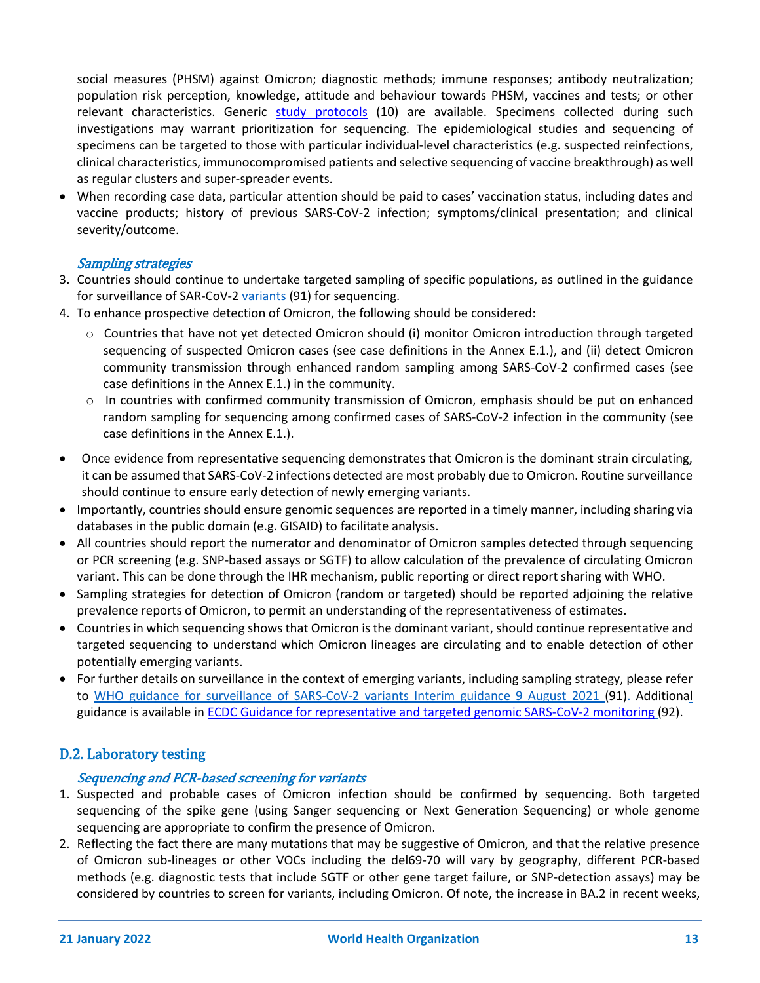social measures (PHSM) against Omicron; diagnostic methods; immune responses; antibody neutralization; population risk perception, knowledge, attitude and behaviour towards PHSM, vaccines and tests; or other relevant characteristics. Generic [study protocols](https://www.who.int/emergencies/diseases/novel-coronavirus-2019/technical-guidance/early-investigations) (10) are available. Specimens collected during such investigations may warrant prioritization for sequencing. The epidemiological studies and sequencing of specimens can be targeted to those with particular individual-level characteristics (e.g. suspected reinfections, clinical characteristics, immunocompromised patients and selective sequencing of vaccine breakthrough) as well as regular clusters and super-spreader events.

• When recording case data, particular attention should be paid to cases' vaccination status, including dates and vaccine products; history of previous SARS-CoV-2 infection; symptoms/clinical presentation; and clinical severity/outcome.

### Sampling strategies

- 3. Countries should continue to undertake targeted sampling of specific populations, as outlined in the [guidance](https://www.who.int/publications/i/item/WHO_2019-nCoV_surveillance_variants)  [for surveillance of SAR-CoV-2 variants](https://www.who.int/publications/i/item/WHO_2019-nCoV_surveillance_variants) (91) for sequencing.
- 4. To enhance prospective detection of Omicron, the following should be considered:
	- o Countries that have not yet detected Omicron should (i) monitor Omicron introduction through targeted sequencing of suspected Omicron cases (see case definitions in the Annex E.1.), and (ii) detect Omicron community transmission through enhanced random sampling among SARS-CoV-2 confirmed cases (see case definitions in the Annex E.1.) in the community.
	- $\circ$  In countries with confirmed community transmission of Omicron, emphasis should be put on enhanced random sampling for sequencing among confirmed cases of SARS-CoV-2 infection in the community (see case definitions in the Annex E.1.).
- Once evidence from representative sequencing demonstrates that Omicron is the dominant strain circulating, it can be assumed that SARS-CoV-2 infections detected are most probably due to Omicron. Routine surveillance should continue to ensure early detection of newly emerging variants.
- Importantly, countries should ensure genomic sequences are reported in a timely manner, including sharing via databases in the public domain (e.g. GISAID) to facilitate analysis.
- All countries should report the numerator and denominator of Omicron samples detected through sequencing or PCR screening (e.g. SNP-based assays or SGTF) to allow calculation of the prevalence of circulating Omicron variant. This can be done through the IHR mechanism, public reporting or direct report sharing with WHO.
- Sampling strategies for detection of Omicron (random or targeted) should be reported adjoining the relative prevalence reports of Omicron, to permit an understanding of the representativeness of estimates.
- Countries in which sequencing shows that Omicron is the dominant variant, should continue representative and targeted sequencing to understand which Omicron lineages are circulating and to enable detection of other potentially emerging variants.
- For further details on surveillance in the context of emerging variants, including sampling strategy, please refer to [WHO guidance for surveillance of SARS-CoV-2](https://www.who.int/publications/i/item/WHO_2019-nCoV_surveillance_variants) variants Interim guidance 9 August 2021 (91). Additional guidance is available in **ECDC** Guidance for representative and targeted genomic SARS-CoV-2 monitoring (92).

# D.2. Laboratory testing

# Sequencing and PCR-based screening for variants

- 1. Suspected and probable cases of Omicron infection should be confirmed by sequencing. Both targeted sequencing of the spike gene (using Sanger sequencing or Next Generation Sequencing) or whole genome sequencing are appropriate to confirm the presence of Omicron.
- 2. Reflecting the fact there are many mutations that may be suggestive of Omicron, and that the relative presence of Omicron sub-lineages or other VOCs including the del69-70 will vary by geography, different PCR-based methods (e.g. diagnostic tests that include SGTF or other gene target failure, or SNP-detection assays) may be considered by countries to screen for variants, including Omicron. Of note, the increase in BA.2 in recent weeks,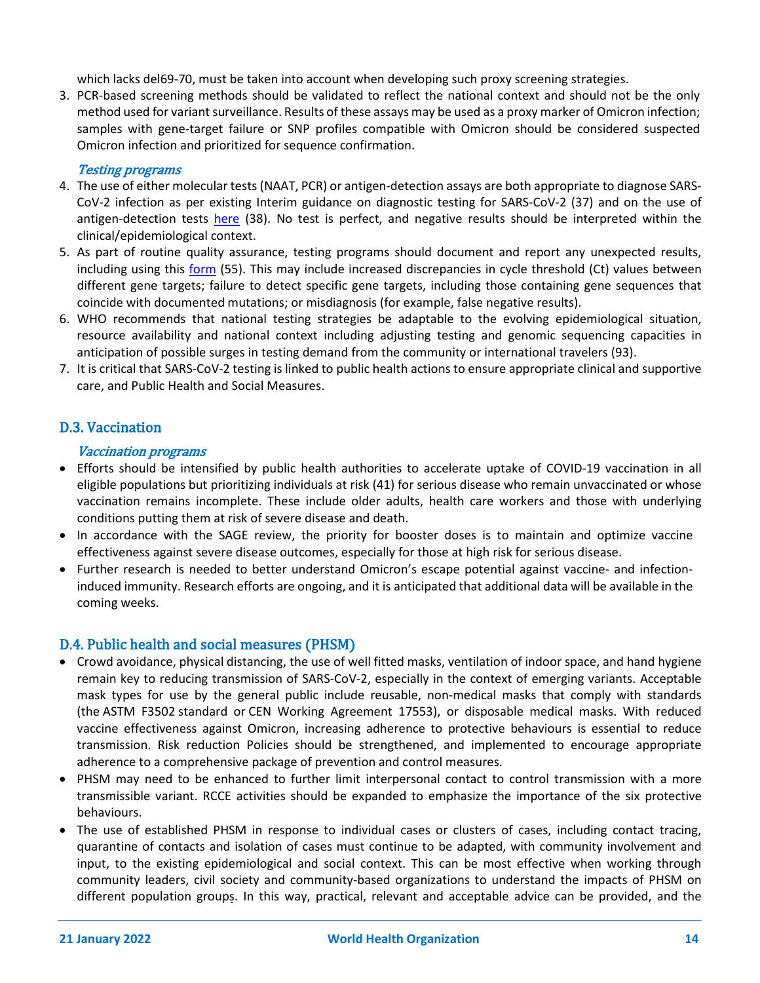which lacks del69-70, must be taken into account when developing such proxy screening strategies.

3. PCR-based screening methods should be validated to reflect the national context and should not be the only method used for variant surveillance. Results of these assays may be used as a proxy marker of Omicron infection; samples with gene-target failure or SNP profiles compatible with Omicron should be considered suspected Omicron infection and prioritized for sequence confirmation.

### Testing programs

- 4. The use of either molecular tests (NAAT, PCR) or antigen-detection assays are both appropriate to diagnose SARS-CoV-2 infection as per existing Interim guidance on diagnostic testing for SARS-CoV-2 (37) and on the use of antigen-detection tests [here](https://www.who.int/publications/i/item/antigen-detection-in-the-diagnosis-of-sars-cov-2infection-using-rapid-immunoassays) (38). No test is perfect, and negative results should be interpreted within the clinical/epidemiological context.
- 5. As part of routine quality assurance, testing programs should document and report any unexpected results, including using this [form](https://cdn.who.int/media/docs/default-source/substandard-and-falsified/pms_user_feedback_form.docx?sfvrsn=3856959_17) (55). This may include increased discrepancies in cycle threshold (Ct) values between different gene targets; failure to detect specific gene targets, including those containing gene sequences that coincide with documented mutations; or misdiagnosis (for example, false negative results).
- 6. WHO recommends that national testing strategies be adaptable to the evolving epidemiological situation, resource availability and national context including adjusting testing and genomic sequencing capacities in anticipation of possible surges in testing demand from the community or international travelers (93).
- 7. It is critical that SARS-CoV-2 testing is linked to public health actions to ensure appropriate clinical and supportive care, and Public Health and Social Measures.

# D.3. Vaccination

### Vaccination programs

- Efforts should be intensified by public health authorities to accelerate uptake of COVID-19 vaccination in all eligible populations but prioritizing individuals at risk [\(41\)](https://www.who.int/publications/i/item/who-sage-roadmap-for-prioritizing-uses-of-covid-19-vaccines-in-the-context-of-limited-supply) for serious disease who remain unvaccinated or whose vaccination remains incomplete. These include older adults, health care workers and those with underlying conditions putting them at risk of severe disease and death.
- In accordance with the SAGE review, the priority for booster doses is to maintain and optimize vaccine effectiveness against severe disease outcomes, especially for those at high risk for serious disease.
- Further research is needed to better understand Omicron's escape potential against vaccine- and infectioninduced immunity. Research efforts are ongoing, and it is anticipated that additional data will be available in the coming weeks.

# D.4. Public health and social measures (PHSM)

- Crowd avoidance, physical distancing, the use of well fitted masks, ventilation of indoor space, and hand hygiene remain key to reducing transmission of SARS-CoV-2, especially in the context of emerging variants. Acceptable mask types for use by the general public include reusable, non-medical masks that comply with standards (the ASTM [F3502](http://www.astm.org/cgi-bin/resolver.cgi?F3502) standard or CEN Working [Agreement](https://ftp.cencenelec.eu/EN/ResearchInnovation/CWA/CWA17553_2020.pdf) 17553), or disposable medical masks. With reduced vaccine effectiveness against Omicron, increasing adherence to protective behaviours is essential to reduce transmission. Risk reduction Policies should be strengthened, and implemented to encourage appropriate adherence to a comprehensive package of prevention and control measures.
- PHSM may need to be enhanced to further limit interpersonal contact to control transmission with a more transmissible variant. RCCE activities should be expanded to emphasize the importance of the six protective behaviours.
- The use of established PHSM in response to individual cases or clusters of cases, including contact tracing, quarantine of contacts and isolation of cases must continue to be adapted, with community involvement and input, to the existing epidemiological and social context. This can be most effective when working through community leaders, civil society and community-based organizations to understand the impacts of PHSM on different population groups. In this way, practical, relevant and acceptable advice can be provided, and the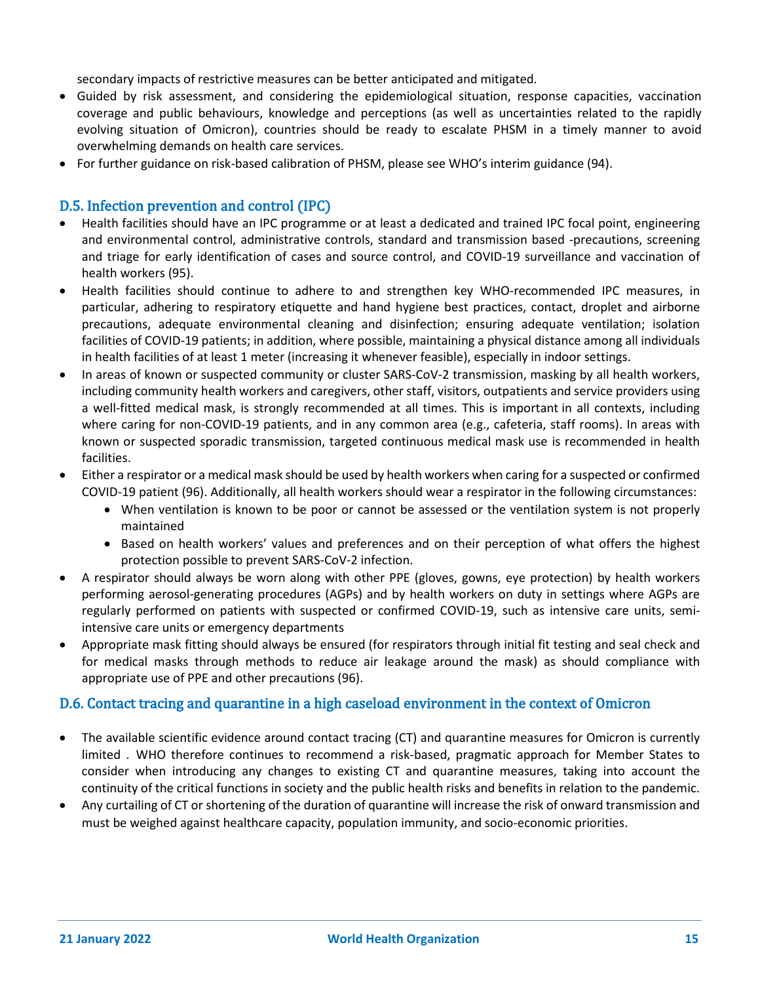secondary impacts of restrictive measures can be better anticipated and mitigated.

- Guided by risk assessment, and considering the epidemiological situation, response capacities, vaccination coverage and public behaviours, knowledge and perceptions (as well as uncertainties related to the rapidly evolving situation of Omicron), countries should be ready to escalate PHSM in a timely manner to avoid overwhelming demands on health care services.
- For further guidance on risk-based calibration of PHSM, please see WHO's interim guidance (94).

# D.5. Infection prevention and control (IPC)

- Health facilities should have an IPC programme or at least a dedicated and trained IPC focal point, engineering and environmental control, administrative controls, standard and transmission based -precautions, screening and triage for early identification of cases and source control, and COVID-19 surveillance and vaccination of health workers (95).
- Health facilities should continue to adhere to and strengthen key WHO-recommended IPC measures, in particular, adhering to respiratory etiquette and hand hygiene best practices, contact, droplet and airborne precautions, adequate environmental cleaning and disinfection; ensuring adequate ventilation; isolation facilities of COVID-19 patients; in addition, where possible, maintaining a physical distance among all individuals in health facilities of at least 1 meter (increasing it whenever feasible), especially in indoor settings.
- In areas of known or suspected community or cluster SARS-CoV-2 transmission, masking by all health workers, including community health workers and caregivers, other staff, visitors, outpatients and service providers using a well-fitted medical mask, is strongly recommended at all times. This is important in all contexts, including where caring for non-COVID-19 patients, and in any common area (e.g., cafeteria, staff rooms). In areas with known or suspected sporadic transmission, targeted continuous medical mask use is recommended in health facilities.
- Either a respirator or a medical mask should be used by health workers when caring for a suspected or confirmed COVID-19 patient (96). Additionally, all health workers should wear a respirator in the following circumstances:
	- When ventilation is known to be poor or cannot be assessed or the ventilation system is not properly maintained
	- Based on health workers' values and preferences and on their perception of what offers the highest protection possible to prevent SARS-CoV-2 infection.
- A respirator should always be worn along with other PPE (gloves, gowns, eye protection) by health workers performing aerosol-generating procedures (AGPs) and by health workers on duty in settings where AGPs are regularly performed on patients with suspected or confirmed COVID-19, such as intensive care units, semiintensive care units or emergency departments
- Appropriate mask fitting should always be ensured (for respirators through initial fit testing and seal check and for medical masks through methods to reduce air leakage around the mask) as should compliance with appropriate use of PPE and other precautions (96).

#### D.6. Contact tracing and quarantine in a high caseload environment in the context of Omicron

- The available scientific evidence around contact tracing (CT) and quarantine measures for Omicron is currently limited . WHO therefore continues to recommend a risk-based, pragmatic approach for Member States to consider when introducing any changes to existing CT and quarantine measures, taking into account the continuity of the critical functions in society and the public health risks and benefits in relation to the pandemic.
- Any curtailing of CT or shortening of the duration of quarantine will increase the risk of onward transmission and must be weighed against healthcare capacity, population immunity, and socio-economic priorities.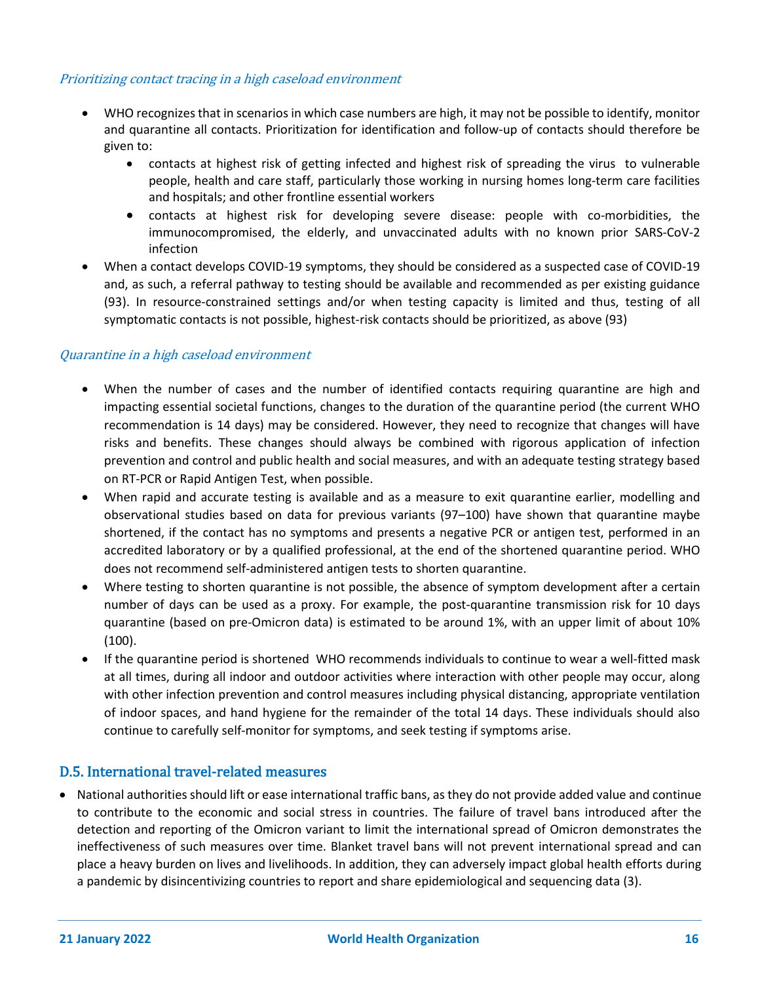### Prioritizing contact tracing in a high caseload environment

- WHO recognizes that in scenarios in which case numbers are high, it may not be possible to identify, monitor and quarantine all contacts. Prioritization for identification and follow-up of contacts should therefore be given to:
	- contacts at highest risk of getting infected and highest risk of spreading the virus to vulnerable people, health and care staff, particularly those working in nursing homes long-term care facilities and hospitals; and other frontline essential workers
	- contacts at highest risk for developing severe disease: people with co-morbidities, the immunocompromised, the elderly, and unvaccinated adults with no known prior SARS-CoV-2 infection
- When a contact develops COVID-19 symptoms, they should be considered as a suspected case of COVID-19 and, as such, a referral pathway to testing should be available and recommended as per existing guidance (93). In resource-constrained settings and/or when testing capacity is limited and thus, testing of all symptomatic contacts is not possible, highest-risk contacts should be prioritized, as above (93)

### Quarantine in a high caseload environment

- When the number of cases and the number of identified contacts requiring quarantine are high and impacting essential societal functions, changes to the duration of the quarantine period (the current WHO recommendation is 14 days) may be considered. However, they need to recognize that changes will have risks and benefits. These changes should always be combined with rigorous application of infection prevention and control and public health and social measures, and with an adequate testing strategy based on RT-PCR or Rapid Antigen Test, when possible.
- When rapid and accurate testing is available and as a measure to exit quarantine earlier, modelling and observational studies based on data for previous variants (97–100) have shown that quarantine maybe shortened, if the contact has no symptoms and presents a negative PCR or antigen test, performed in an accredited laboratory or by a qualified professional, at the end of the shortened quarantine period. WHO does not recommend self-administered antigen tests to shorten quarantine.
- Where testing to shorten quarantine is not possible, the absence of symptom development after a certain number of days can be used as a proxy. For example, the post-quarantine transmission risk for 10 days quarantine (based on pre-Omicron data) is estimated to be around 1%, with an upper limit of about 10% (100).
- If the quarantine period is shortened WHO recommends individuals to continue to wear a well-fitted mask at all times, during all indoor and outdoor activities where interaction with other people may occur, along with other infection prevention and control measures including physical distancing, appropriate ventilation of indoor spaces, and hand hygiene for the remainder of the total 14 days. These individuals should also continue to carefully self-monitor for symptoms, and seek testing if symptoms arise.

# D.5. International travel-related measures

• National authorities should lift or ease international traffic bans, as they do not provide added value and continue to contribute to the economic and social stress in countries. The failure of travel bans introduced after the detection and reporting of the Omicron variant to limit the international spread of Omicron demonstrates the ineffectiveness of such measures over time. Blanket travel bans will not prevent international spread and can place a heavy burden on lives and livelihoods. In addition, they can adversely impact global health efforts during a pandemic by disincentivizing countries to report and share epidemiological and sequencing data (3).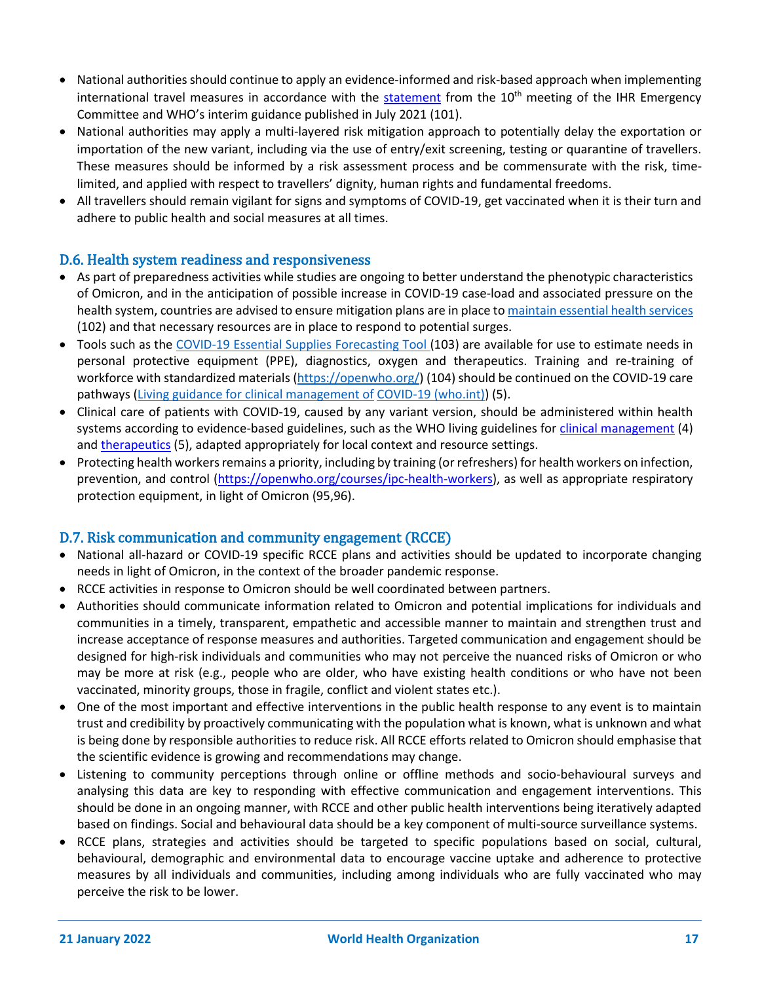- National authorities should continue to apply an evidence-informed and risk-based approach when implementing international travel measures in accordance with the [statement](https://www.who.int/news/item/19-01-2022-statement-on-the-tenth-meeting-of-the-international-health-regulations-(2005)-emergency-committee-regarding-the-coronavirus-disease-(covid-19)-pandemic) from the 10<sup>th</sup> meeting of the IHR Emergency Committee and [WHO's interim](https://www.who.int/news-room/articles-detail/policy-and-technical-considerations-for-implementing-a-risk-based-approach-to-international-travel-in-the-context-of-covid-19) [guidance](https://www.who.int/news-room/articles-detail/policy-and-technical-considerations-for-implementing-a-risk-based-approach-to-international-travel-in-the-context-of-covid-19) published in July 2021 (101).
- National authorities may apply a multi-layered risk mitigation approach to potentially delay the exportation or importation of the new variant, including via the use of entry/exit screening, testing or quarantine of travellers. These measures should be informed by a risk assessment process and be commensurate with the risk, timelimited, and applied with respect to travellers' dignity, human rights and fundamental freedoms.
- All travellers should remain vigilant for signs and symptoms of COVID-19, get vaccinated when it is their turn and adhere to public health and social measures at all times.

# D.6. Health system readiness and responsiveness

- As part of preparedness activities while studies are ongoing to better understand the phenotypic characteristics of Omicron, and in the anticipation of possible increase in COVID-19 case-load and associated pressure on the health system, countries are advised to ensure mitigation plans are in place to [maintain essential health services](https://www.who.int/emergencies/diseases/novel-coronavirus-2019/related-health-issues) (102) and that necessary resources are in place to respond to potential surges.
- Tools such as the [COVID-19 Essential Supplies Forecasting Tool \(](https://www.who.int/publications/i/item/WHO-2019-nCoV-Tools-Essential_forecasting-Overview-2020.1)103) are available for use to estimate needs in personal protective equipment (PPE), diagnostics, oxygen and therapeutics. Training and re-training of workforce with standardized materials [\(https://openwho.org/\)](https://openwho.org/) (104) should be continued on the COVID-19 care pathway[s \(Living guidance for clinical management of](https://www.who.int/publications/i/item/WHO-2019-nCoV-clinical-2021-2) [COVID-19 \(who.int\)\)](https://www.who.int/publications/i/item/WHO-2019-nCoV-clinical-2021-2) (5).
- Clinical care of patients with COVID-19, caused by any variant version, should be administered within health systems according to evidence-based guidelines, such as the WHO living guidelines for [clinical management](https://www.who.int/publications/i/item/WHO-2019-nCoV-clinical-2021-2) (4) and [therapeutics](https://www.who.int/publications/i/item/WHO-2019-nCoV-therapeutics-2021.4) (5), adapted appropriately for local context and resource settings.
- Protecting health workers remains a priority, including by training (or refreshers) for health workers on infection, prevention, and control [\(https://openwho.org/courses/ipc-health-workers\)](https://openwho.org/courses/ipc-health-workers), as well as appropriate respiratory protection equipment, in light of Omicron (95,96).

# D.7. Risk communication and community engagement (RCCE)

- National all-hazard or COVID-19 specific RCCE plans and activities should be updated to incorporate changing needs in light of Omicron, in the context of the broader pandemic response.
- RCCE activities in response to Omicron should be well coordinated between partners.
- Authorities should communicate information related to Omicron and potential implications for individuals and communities in a timely, transparent, empathetic and accessible manner to maintain and strengthen trust and increase acceptance of response measures and authorities. Targeted communication and engagement should be designed for high-risk individuals and communities who may not perceive the nuanced risks of Omicron or who may be more at risk (e.g., people who are older, who have existing health conditions or who have not been vaccinated, minority groups, those in fragile, conflict and violent states etc.).
- One of the most important and effective interventions in the public health response to any event is to maintain trust and credibility by proactively communicating with the population what is known, what is unknown and what is being done by responsible authorities to reduce risk. All RCCE efforts related to Omicron should emphasise that the scientific evidence is growing and recommendations may change.
- Listening to community perceptions through online or offline methods and socio-behavioural surveys and analysing this data are key to responding with effective communication and engagement interventions. This should be done in an ongoing manner, with RCCE and other public health interventions being iteratively adapted based on findings. Social and behavioural data should be a key component of multi-source surveillance systems.
- RCCE plans, strategies and activities should be targeted to specific populations based on social, cultural, behavioural, demographic and environmental data to encourage vaccine uptake and adherence to protective measures by all individuals and communities, including among individuals who are fully vaccinated who may perceive the risk to be lower.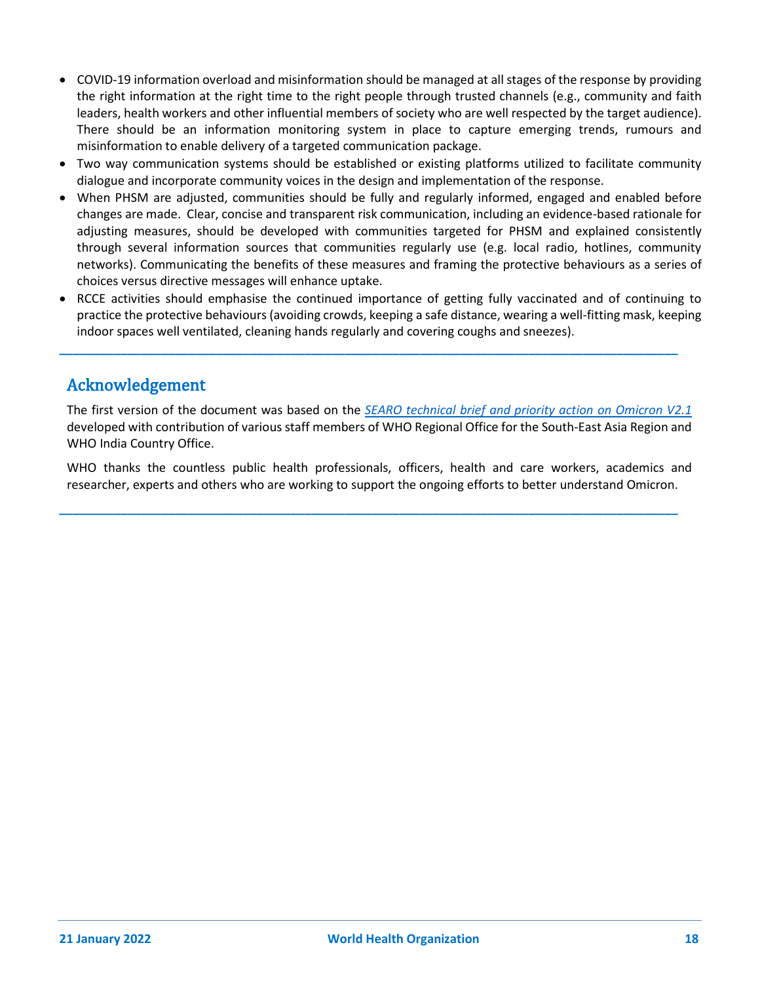- COVID-19 information overload and misinformation should be managed at all stages of the response by providing the right information at the right time to the right people through trusted channels (e.g., community and faith leaders, health workers and other influential members of society who are well respected by the target audience). There should be an information monitoring system in place to capture emerging trends, rumours and misinformation to enable delivery of a targeted communication package.
- Two way communication systems should be established or existing platforms utilized to facilitate community dialogue and incorporate community voices in the design and implementation of the response.
- When PHSM are adjusted, communities should be fully and regularly informed, engaged and enabled before changes are made. Clear, concise and transparent risk communication, including an evidence-based rationale for adjusting measures, should be developed with communities targeted for PHSM and explained consistently through several information sources that communities regularly use (e.g. local radio, hotlines, community networks). Communicating the benefits of these measures and framing the protective behaviours as a series of choices versus directive messages will enhance uptake.
- RCCE activities should emphasise the continued importance of getting fully vaccinated and of continuing to practice the protective behaviours (avoiding crowds, keeping a safe distance, wearing a well-fitting mask, keeping indoor spaces well ventilated, cleaning hands regularly and covering coughs and sneezes).

**\_\_\_\_\_\_\_\_\_\_\_\_\_\_\_\_\_\_\_\_\_\_\_\_\_\_\_\_\_\_\_\_\_\_\_\_\_\_\_\_\_\_\_\_\_\_\_\_\_\_\_\_\_\_\_\_\_\_\_\_\_\_\_\_\_\_\_\_\_\_\_\_\_\_\_\_\_\_\_\_\_\_\_\_\_\_\_\_\_\_\_**

# Acknowledgement

The first version of the document was based on the *[SEARO technical brief and priority action on Omicron V2.1](https://cdn.who.int/media/docs/default-source/searo/whe/searo-technical-brief-enhacing-readiness-on-omicron.pdf?sfvrsn=6457b0d7_15)* developed with contribution of various staff members of WHO Regional Office for the South-East Asia Region and WHO India Country Office.

WHO thanks the countless public health professionals, officers, health and care workers, academics and researcher, experts and others who are working to support the ongoing efforts to better understand Omicron.

**\_\_\_\_\_\_\_\_\_\_\_\_\_\_\_\_\_\_\_\_\_\_\_\_\_\_\_\_\_\_\_\_\_\_\_\_\_\_\_\_\_\_\_\_\_\_\_\_\_\_\_\_\_\_\_\_\_\_\_\_\_\_\_\_\_\_\_\_\_\_\_\_\_\_\_\_\_\_\_\_\_\_\_\_\_\_\_\_\_\_\_**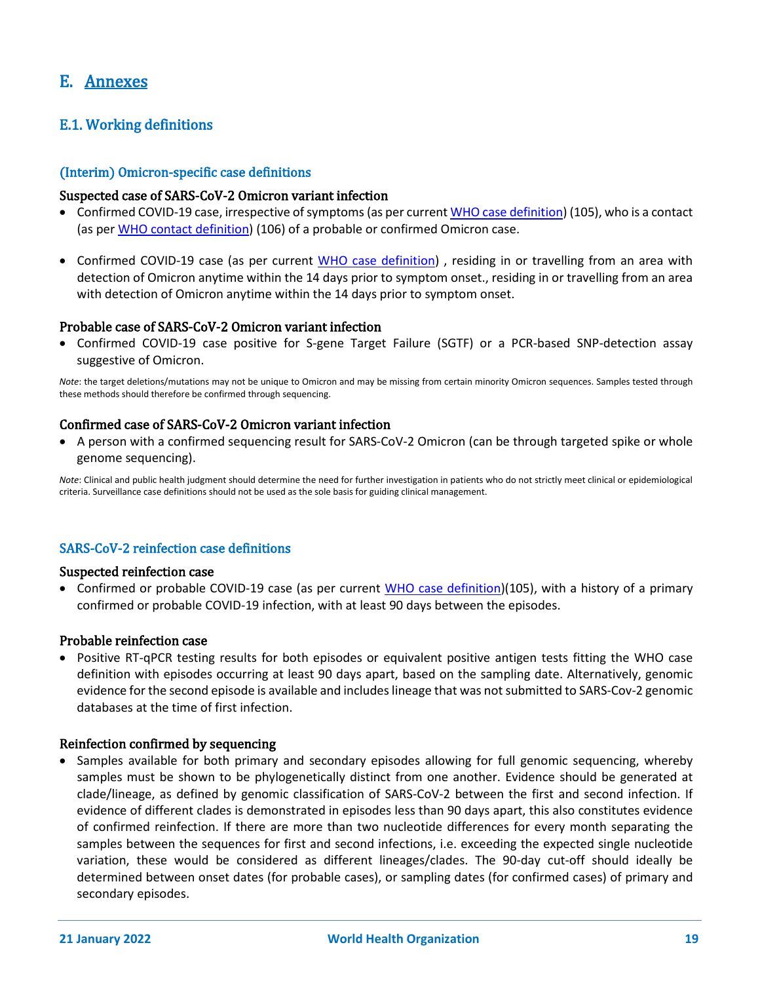# E. Annexes

# E.1. Working definitions

#### (Interim) Omicron-specific case definitions

#### Suspected case of SARS-CoV-2 Omicron variant infection

- Confirmed COVID-19 case, irrespective of symptoms (as per curren[t WHO case definition\)](https://www.who.int/publications/i/item/WHO-2019-nCoV-Surveillance_Case_Definition-2020.2) (105), who is a contact (as per [WHO contact definition\)](https://www.who.int/publications/i/item/contact-tracing-in-the-context-of-covid-19) (106) of a probable or confirmed Omicron case.
- Confirmed COVID-19 case [\(as per current WHO case definition\)](https://www.who.int/publications/i/item/WHO-2019-nCoV-Surveillance_Case_Definition-2020.2) , residing in or travelling from an area with detection of Omicron anytime within the 14 days prior to symptom onset., residing in or travelling from an area with detection of Omicron anytime within the 14 days prior to symptom onset.

# Probable case of SARS-CoV-2 Omicron variant infection

• Confirmed COVID-19 case positive for S-gene Target Failure (SGTF) or a PCR-based SNP-detection assay suggestive of Omicron.

*Note*: the target deletions/mutations may not be unique to Omicron and may be missing from certain minority Omicron sequences. Samples tested through these methods should therefore be confirmed through sequencing.

# Confirmed case of SARS-CoV-2 Omicron variant infection

• A person with a confirmed sequencing result for SARS-CoV-2 Omicron (can be through targeted spike or whole genome sequencing).

*Note*: Clinical and public health judgment should determine the need for further investigation in patients who do not strictly meet clinical or epidemiological criteria. Surveillance case definitions should not be used as the sole basis for guiding clinical management.

#### SARS-CoV-2 reinfection case definitions

#### Suspected reinfection case

• Confirmed or probable COVID-19 case (as per current [WHO case definition\)](https://www.who.int/publications/i/item/WHO-2019-nCoV-Surveillance_Case_Definition-2020.2)(105), with a history of a primary confirmed or probable COVID-19 infection, with at least 90 days between the episodes.

#### Probable reinfection case

• Positive RT-qPCR testing results for both episodes or equivalent positive antigen tests fitting the WHO case definition with episodes occurring at least 90 days apart, based on the sampling date. Alternatively, genomic evidence for the second episode is available and includes lineage that was not submitted to SARS-Cov-2 genomic databases at the time of first infection.

#### Reinfection confirmed by sequencing

• Samples available for both primary and secondary episodes allowing for full genomic sequencing, whereby samples must be shown to be phylogenetically distinct from one another. Evidence should be generated at clade/lineage, as defined by genomic classification of SARS-CoV-2 between the first and second infection. If evidence of different clades is demonstrated in episodes less than 90 days apart, this also constitutes evidence of confirmed reinfection. If there are more than two nucleotide differences for every month separating the samples between the sequences for first and second infections, i.e. exceeding the expected single nucleotide variation, these would be considered as different lineages/clades. The 90-day cut-off should ideally be determined between onset dates (for probable cases), or sampling dates (for confirmed cases) of primary and secondary episodes.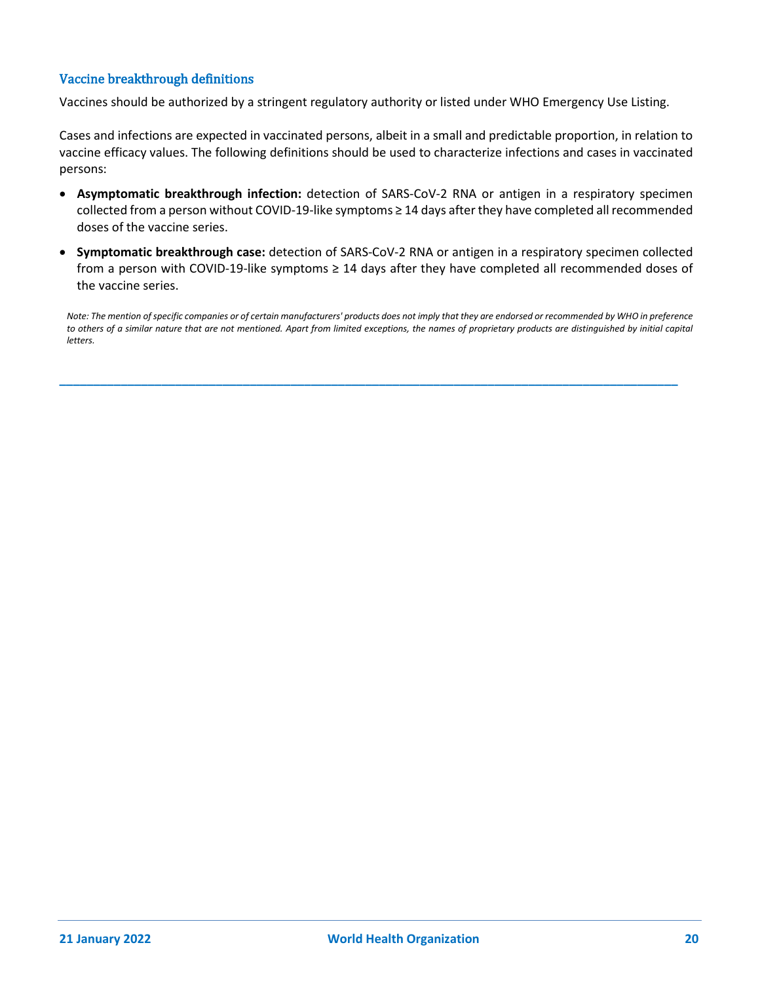### Vaccine breakthrough definitions

Vaccines should be authorized by a stringent regulatory authority or listed under WHO Emergency Use Listing.

Cases and infections are expected in vaccinated persons, albeit in a small and predictable proportion, in relation to vaccine efficacy values. The following definitions should be used to characterize infections and cases in vaccinated persons:

- **Asymptomatic breakthrough infection:** detection of SARS-CoV-2 RNA or antigen in a respiratory specimen collected from a person without COVID-19-like symptoms ≥ 14 days after they have completed all recommended doses of the vaccine series.
- **Symptomatic breakthrough case:** detection of SARS-CoV-2 RNA or antigen in a respiratory specimen collected from a person with COVID-19-like symptoms ≥ 14 days after they have completed all recommended doses of the vaccine series.

*Note: The mention of specific companies or of certain manufacturers' products does not imply that they are endorsed or recommended by WHO in preference to others of a similar nature that are not mentioned. Apart from limited exceptions, the names of proprietary products are distinguished by initial capital letters.*

**\_\_\_\_\_\_\_\_\_\_\_\_\_\_\_\_\_\_\_\_\_\_\_\_\_\_\_\_\_\_\_\_\_\_\_\_\_\_\_\_\_\_\_\_\_\_\_\_\_\_\_\_\_\_\_\_\_\_\_\_\_\_\_\_\_\_\_\_\_\_\_\_\_\_\_\_\_\_\_\_\_\_\_\_\_\_\_\_\_\_\_**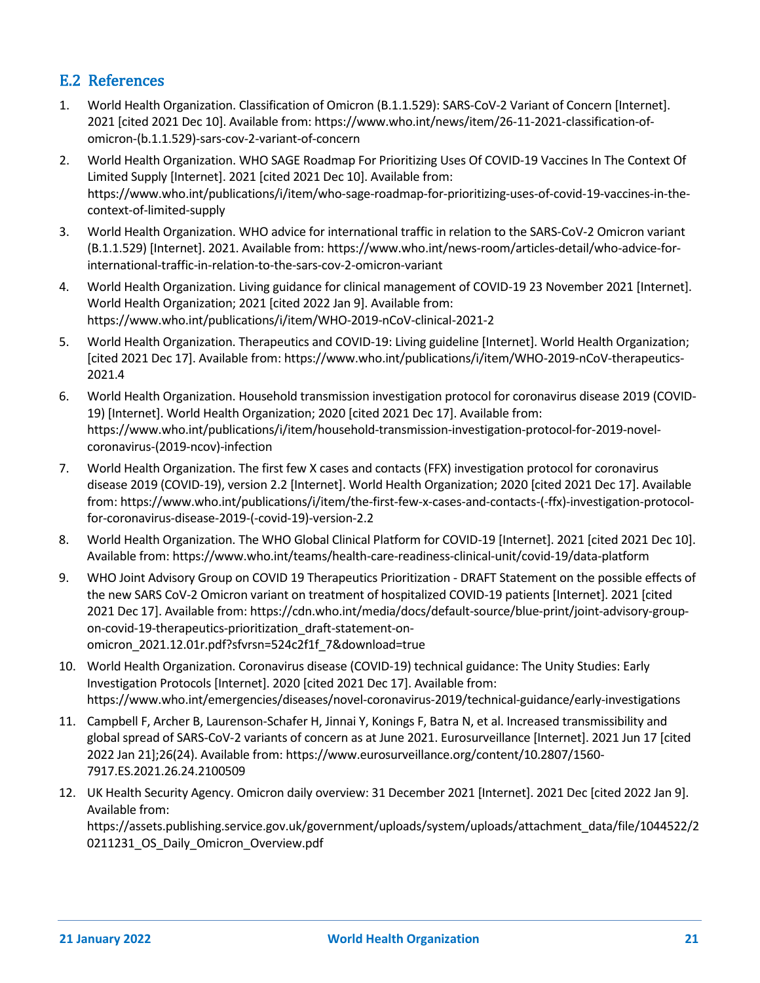# E.2 References

- 1. World Health Organization. Classification of Omicron (B.1.1.529): SARS-CoV-2 Variant of Concern [Internet]. 2021 [cited 2021 Dec 10]. Available from: https://www.who.int/news/item/26-11-2021-classification-ofomicron-(b.1.1.529)-sars-cov-2-variant-of-concern
- 2. World Health Organization. WHO SAGE Roadmap For Prioritizing Uses Of COVID-19 Vaccines In The Context Of Limited Supply [Internet]. 2021 [cited 2021 Dec 10]. Available from: https://www.who.int/publications/i/item/who-sage-roadmap-for-prioritizing-uses-of-covid-19-vaccines-in-thecontext-of-limited-supply
- 3. World Health Organization. WHO advice for international traffic in relation to the SARS-CoV-2 Omicron variant (B.1.1.529) [Internet]. 2021. Available from: https://www.who.int/news-room/articles-detail/who-advice-forinternational-traffic-in-relation-to-the-sars-cov-2-omicron-variant
- 4. World Health Organization. Living guidance for clinical management of COVID-19 23 November 2021 [Internet]. World Health Organization; 2021 [cited 2022 Jan 9]. Available from: https://www.who.int/publications/i/item/WHO-2019-nCoV-clinical-2021-2
- 5. World Health Organization. Therapeutics and COVID-19: Living guideline [Internet]. World Health Organization; [cited 2021 Dec 17]. Available from: https://www.who.int/publications/i/item/WHO-2019-nCoV-therapeutics-2021.4
- 6. World Health Organization. Household transmission investigation protocol for coronavirus disease 2019 (COVID-19) [Internet]. World Health Organization; 2020 [cited 2021 Dec 17]. Available from: https://www.who.int/publications/i/item/household-transmission-investigation-protocol-for-2019-novelcoronavirus-(2019-ncov)-infection
- 7. World Health Organization. The first few X cases and contacts (FFX) investigation protocol for coronavirus disease 2019 (COVID-19), version 2.2 [Internet]. World Health Organization; 2020 [cited 2021 Dec 17]. Available from: https://www.who.int/publications/i/item/the-first-few-x-cases-and-contacts-(-ffx)-investigation-protocolfor-coronavirus-disease-2019-(-covid-19)-version-2.2
- 8. World Health Organization. The WHO Global Clinical Platform for COVID-19 [Internet]. 2021 [cited 2021 Dec 10]. Available from: https://www.who.int/teams/health-care-readiness-clinical-unit/covid-19/data-platform
- 9. WHO Joint Advisory Group on COVID 19 Therapeutics Prioritization DRAFT Statement on the possible effects of the new SARS CoV-2 Omicron variant on treatment of hospitalized COVID-19 patients [Internet]. 2021 [cited 2021 Dec 17]. Available from: https://cdn.who.int/media/docs/default-source/blue-print/joint-advisory-groupon-covid-19-therapeutics-prioritization\_draft-statement-onomicron\_2021.12.01r.pdf?sfvrsn=524c2f1f\_7&download=true
- 10. World Health Organization. Coronavirus disease (COVID-19) technical guidance: The Unity Studies: Early Investigation Protocols [Internet]. 2020 [cited 2021 Dec 17]. Available from: https://www.who.int/emergencies/diseases/novel-coronavirus-2019/technical-guidance/early-investigations
- 11. Campbell F, Archer B, Laurenson-Schafer H, Jinnai Y, Konings F, Batra N, et al. Increased transmissibility and global spread of SARS-CoV-2 variants of concern as at June 2021. Eurosurveillance [Internet]. 2021 Jun 17 [cited 2022 Jan 21];26(24). Available from: https://www.eurosurveillance.org/content/10.2807/1560- 7917.ES.2021.26.24.2100509
- 12. UK Health Security Agency. Omicron daily overview: 31 December 2021 [Internet]. 2021 Dec [cited 2022 Jan 9]. Available from:

https://assets.publishing.service.gov.uk/government/uploads/system/uploads/attachment\_data/file/1044522/2 0211231\_OS\_Daily\_Omicron\_Overview.pdf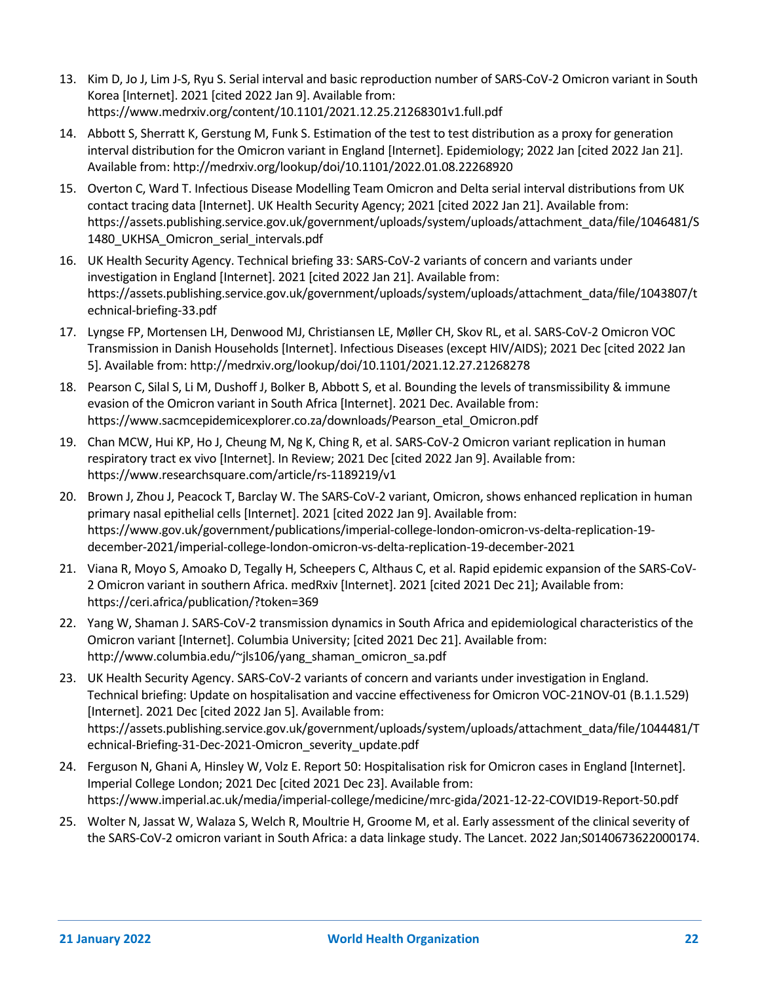- 13. Kim D, Jo J, Lim J-S, Ryu S. Serial interval and basic reproduction number of SARS-CoV-2 Omicron variant in South Korea [Internet]. 2021 [cited 2022 Jan 9]. Available from: https://www.medrxiv.org/content/10.1101/2021.12.25.21268301v1.full.pdf
- 14. Abbott S, Sherratt K, Gerstung M, Funk S. Estimation of the test to test distribution as a proxy for generation interval distribution for the Omicron variant in England [Internet]. Epidemiology; 2022 Jan [cited 2022 Jan 21]. Available from: http://medrxiv.org/lookup/doi/10.1101/2022.01.08.22268920
- 15. Overton C, Ward T. Infectious Disease Modelling Team Omicron and Delta serial interval distributions from UK contact tracing data [Internet]. UK Health Security Agency; 2021 [cited 2022 Jan 21]. Available from: https://assets.publishing.service.gov.uk/government/uploads/system/uploads/attachment\_data/file/1046481/S 1480\_UKHSA\_Omicron\_serial\_intervals.pdf
- 16. UK Health Security Agency. Technical briefing 33: SARS-CoV-2 variants of concern and variants under investigation in England [Internet]. 2021 [cited 2022 Jan 21]. Available from: https://assets.publishing.service.gov.uk/government/uploads/system/uploads/attachment\_data/file/1043807/t echnical-briefing-33.pdf
- 17. Lyngse FP, Mortensen LH, Denwood MJ, Christiansen LE, Møller CH, Skov RL, et al. SARS-CoV-2 Omicron VOC Transmission in Danish Households [Internet]. Infectious Diseases (except HIV/AIDS); 2021 Dec [cited 2022 Jan 5]. Available from: http://medrxiv.org/lookup/doi/10.1101/2021.12.27.21268278
- 18. Pearson C, Silal S, Li M, Dushoff J, Bolker B, Abbott S, et al. Bounding the levels of transmissibility & immune evasion of the Omicron variant in South Africa [Internet]. 2021 Dec. Available from: https://www.sacmcepidemicexplorer.co.za/downloads/Pearson\_etal\_Omicron.pdf
- 19. Chan MCW, Hui KP, Ho J, Cheung M, Ng K, Ching R, et al. SARS-CoV-2 Omicron variant replication in human respiratory tract ex vivo [Internet]. In Review; 2021 Dec [cited 2022 Jan 9]. Available from: https://www.researchsquare.com/article/rs-1189219/v1
- 20. Brown J, Zhou J, Peacock T, Barclay W. The SARS-CoV-2 variant, Omicron, shows enhanced replication in human primary nasal epithelial cells [Internet]. 2021 [cited 2022 Jan 9]. Available from: https://www.gov.uk/government/publications/imperial-college-london-omicron-vs-delta-replication-19 december-2021/imperial-college-london-omicron-vs-delta-replication-19-december-2021
- 21. Viana R, Moyo S, Amoako D, Tegally H, Scheepers C, Althaus C, et al. Rapid epidemic expansion of the SARS-CoV-2 Omicron variant in southern Africa. medRxiv [Internet]. 2021 [cited 2021 Dec 21]; Available from: https://ceri.africa/publication/?token=369
- 22. Yang W, Shaman J. SARS-CoV-2 transmission dynamics in South Africa and epidemiological characteristics of the Omicron variant [Internet]. Columbia University; [cited 2021 Dec 21]. Available from: http://www.columbia.edu/~jls106/yang\_shaman\_omicron\_sa.pdf
- 23. UK Health Security Agency. SARS-CoV-2 variants of concern and variants under investigation in England. Technical briefing: Update on hospitalisation and vaccine effectiveness for Omicron VOC-21NOV-01 (B.1.1.529) [Internet]. 2021 Dec [cited 2022 Jan 5]. Available from: https://assets.publishing.service.gov.uk/government/uploads/system/uploads/attachment\_data/file/1044481/T echnical-Briefing-31-Dec-2021-Omicron\_severity\_update.pdf
- 24. Ferguson N, Ghani A, Hinsley W, Volz E. Report 50: Hospitalisation risk for Omicron cases in England [Internet]. Imperial College London; 2021 Dec [cited 2021 Dec 23]. Available from: https://www.imperial.ac.uk/media/imperial-college/medicine/mrc-gida/2021-12-22-COVID19-Report-50.pdf
- 25. Wolter N, Jassat W, Walaza S, Welch R, Moultrie H, Groome M, et al. Early assessment of the clinical severity of the SARS-CoV-2 omicron variant in South Africa: a data linkage study. The Lancet. 2022 Jan;S0140673622000174.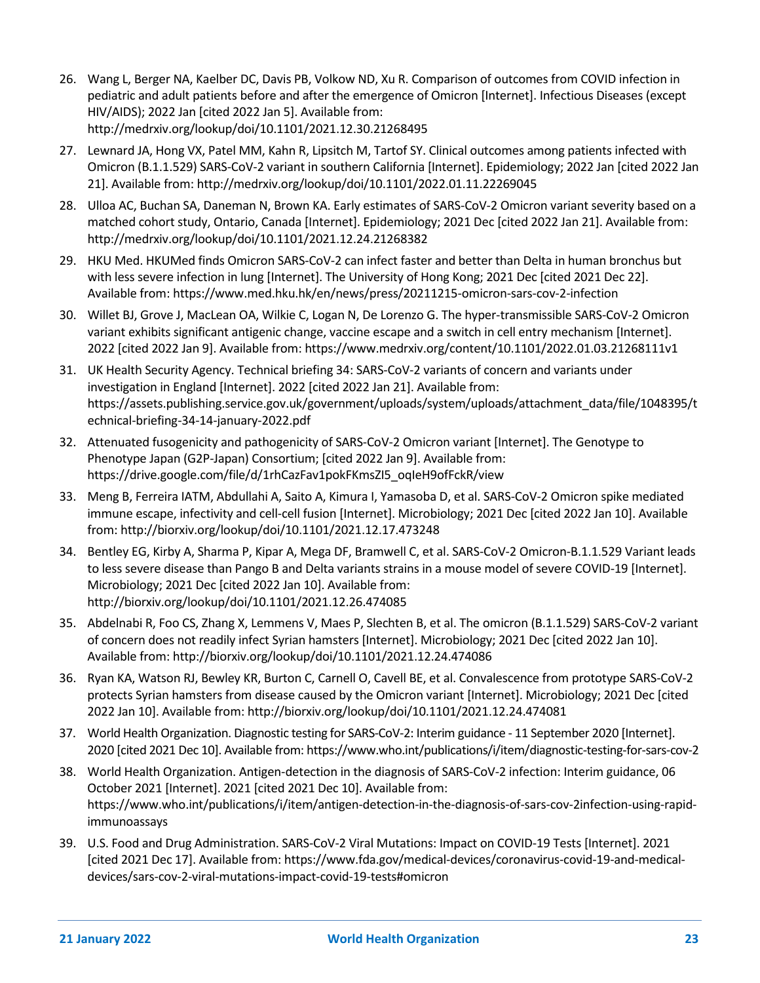- 26. Wang L, Berger NA, Kaelber DC, Davis PB, Volkow ND, Xu R. Comparison of outcomes from COVID infection in pediatric and adult patients before and after the emergence of Omicron [Internet]. Infectious Diseases (except HIV/AIDS); 2022 Jan [cited 2022 Jan 5]. Available from: http://medrxiv.org/lookup/doi/10.1101/2021.12.30.21268495
- 27. Lewnard JA, Hong VX, Patel MM, Kahn R, Lipsitch M, Tartof SY. Clinical outcomes among patients infected with Omicron (B.1.1.529) SARS-CoV-2 variant in southern California [Internet]. Epidemiology; 2022 Jan [cited 2022 Jan 21]. Available from: http://medrxiv.org/lookup/doi/10.1101/2022.01.11.22269045
- 28. Ulloa AC, Buchan SA, Daneman N, Brown KA. Early estimates of SARS-CoV-2 Omicron variant severity based on a matched cohort study, Ontario, Canada [Internet]. Epidemiology; 2021 Dec [cited 2022 Jan 21]. Available from: http://medrxiv.org/lookup/doi/10.1101/2021.12.24.21268382
- 29. HKU Med. HKUMed finds Omicron SARS-CoV-2 can infect faster and better than Delta in human bronchus but with less severe infection in lung [Internet]. The University of Hong Kong; 2021 Dec [cited 2021 Dec 22]. Available from: https://www.med.hku.hk/en/news/press/20211215-omicron-sars-cov-2-infection
- 30. Willet BJ, Grove J, MacLean OA, Wilkie C, Logan N, De Lorenzo G. The hyper-transmissible SARS-CoV-2 Omicron variant exhibits significant antigenic change, vaccine escape and a switch in cell entry mechanism [Internet]. 2022 [cited 2022 Jan 9]. Available from: https://www.medrxiv.org/content/10.1101/2022.01.03.21268111v1
- 31. UK Health Security Agency. Technical briefing 34: SARS-CoV-2 variants of concern and variants under investigation in England [Internet]. 2022 [cited 2022 Jan 21]. Available from: https://assets.publishing.service.gov.uk/government/uploads/system/uploads/attachment\_data/file/1048395/t echnical-briefing-34-14-january-2022.pdf
- 32. Attenuated fusogenicity and pathogenicity of SARS-CoV-2 Omicron variant [Internet]. The Genotype to Phenotype Japan (G2P-Japan) Consortium; [cited 2022 Jan 9]. Available from: https://drive.google.com/file/d/1rhCazFav1pokFKmsZI5\_oqIeH9ofFckR/view
- 33. Meng B, Ferreira IATM, Abdullahi A, Saito A, Kimura I, Yamasoba D, et al. SARS-CoV-2 Omicron spike mediated immune escape, infectivity and cell-cell fusion [Internet]. Microbiology; 2021 Dec [cited 2022 Jan 10]. Available from: http://biorxiv.org/lookup/doi/10.1101/2021.12.17.473248
- 34. Bentley EG, Kirby A, Sharma P, Kipar A, Mega DF, Bramwell C, et al. SARS-CoV-2 Omicron-B.1.1.529 Variant leads to less severe disease than Pango B and Delta variants strains in a mouse model of severe COVID-19 [Internet]. Microbiology; 2021 Dec [cited 2022 Jan 10]. Available from: http://biorxiv.org/lookup/doi/10.1101/2021.12.26.474085
- 35. Abdelnabi R, Foo CS, Zhang X, Lemmens V, Maes P, Slechten B, et al. The omicron (B.1.1.529) SARS-CoV-2 variant of concern does not readily infect Syrian hamsters [Internet]. Microbiology; 2021 Dec [cited 2022 Jan 10]. Available from: http://biorxiv.org/lookup/doi/10.1101/2021.12.24.474086
- 36. Ryan KA, Watson RJ, Bewley KR, Burton C, Carnell O, Cavell BE, et al. Convalescence from prototype SARS-CoV-2 protects Syrian hamsters from disease caused by the Omicron variant [Internet]. Microbiology; 2021 Dec [cited 2022 Jan 10]. Available from: http://biorxiv.org/lookup/doi/10.1101/2021.12.24.474081
- 37. World Health Organization. Diagnostic testing for SARS-CoV-2: Interim guidance 11 September 2020 [Internet]. 2020 [cited 2021 Dec 10]. Available from: https://www.who.int/publications/i/item/diagnostic-testing-for-sars-cov-2
- 38. World Health Organization. Antigen-detection in the diagnosis of SARS-CoV-2 infection: Interim guidance, 06 October 2021 [Internet]. 2021 [cited 2021 Dec 10]. Available from: https://www.who.int/publications/i/item/antigen-detection-in-the-diagnosis-of-sars-cov-2infection-using-rapidimmunoassays
- 39. U.S. Food and Drug Administration. SARS-CoV-2 Viral Mutations: Impact on COVID-19 Tests [Internet]. 2021 [cited 2021 Dec 17]. Available from: https://www.fda.gov/medical-devices/coronavirus-covid-19-and-medicaldevices/sars-cov-2-viral-mutations-impact-covid-19-tests#omicron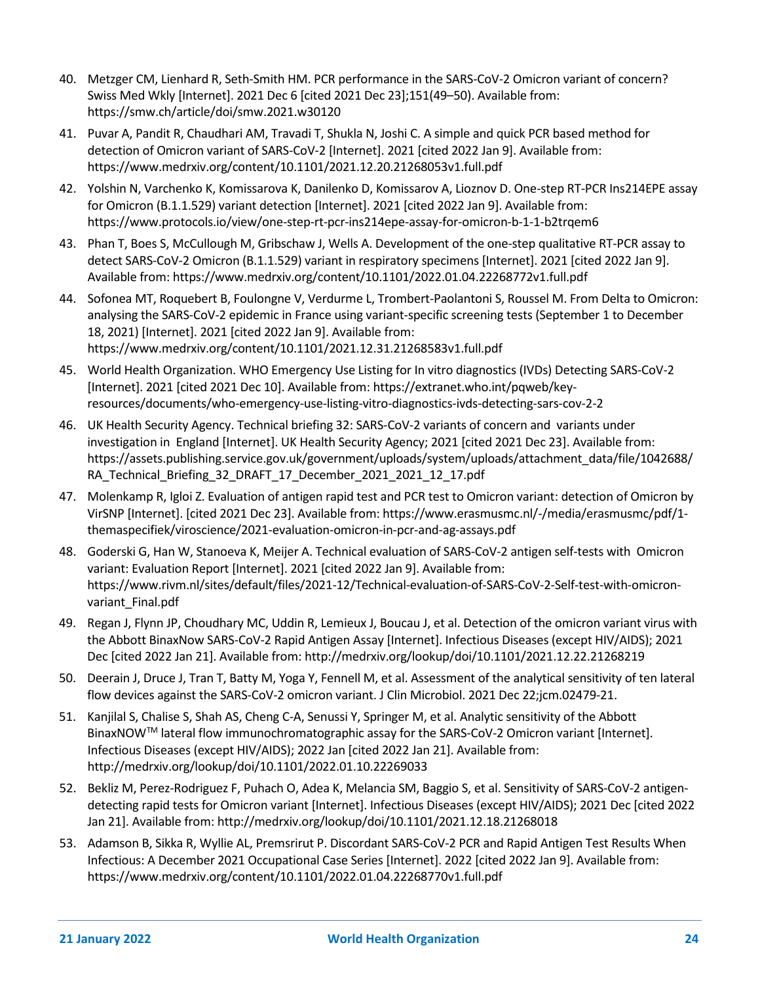- 40. Metzger CM, Lienhard R, Seth-Smith HM. PCR performance in the SARS-CoV-2 Omicron variant of concern? Swiss Med Wkly [Internet]. 2021 Dec 6 [cited 2021 Dec 23];151(49–50). Available from: https://smw.ch/article/doi/smw.2021.w30120
- 41. Puvar A, Pandit R, Chaudhari AM, Travadi T, Shukla N, Joshi C. A simple and quick PCR based method for detection of Omicron variant of SARS-CoV-2 [Internet]. 2021 [cited 2022 Jan 9]. Available from: https://www.medrxiv.org/content/10.1101/2021.12.20.21268053v1.full.pdf
- 42. Yolshin N, Varchenko K, Komissarova K, Danilenko D, Komissarov A, Lioznov D. One-step RT-PCR Ins214EPE assay for Omicron (B.1.1.529) variant detection [Internet]. 2021 [cited 2022 Jan 9]. Available from: https://www.protocols.io/view/one-step-rt-pcr-ins214epe-assay-for-omicron-b-1-1-b2trqem6
- 43. Phan T, Boes S, McCullough M, Gribschaw J, Wells A. Development of the one-step qualitative RT-PCR assay to detect SARS-CoV-2 Omicron (B.1.1.529) variant in respiratory specimens [Internet]. 2021 [cited 2022 Jan 9]. Available from: https://www.medrxiv.org/content/10.1101/2022.01.04.22268772v1.full.pdf
- 44. Sofonea MT, Roquebert B, Foulongne V, Verdurme L, Trombert-Paolantoni S, Roussel M. From Delta to Omicron: analysing the SARS-CoV-2 epidemic in France using variant-specific screening tests (September 1 to December 18, 2021) [Internet]. 2021 [cited 2022 Jan 9]. Available from: https://www.medrxiv.org/content/10.1101/2021.12.31.21268583v1.full.pdf
- 45. World Health Organization. WHO Emergency Use Listing for In vitro diagnostics (IVDs) Detecting SARS-CoV-2 [Internet]. 2021 [cited 2021 Dec 10]. Available from: https://extranet.who.int/pqweb/keyresources/documents/who-emergency-use-listing-vitro-diagnostics-ivds-detecting-sars-cov-2-2
- 46. UK Health Security Agency. Technical briefing 32: SARS-CoV-2 variants of concern and variants under investigation in England [Internet]. UK Health Security Agency; 2021 [cited 2021 Dec 23]. Available from: https://assets.publishing.service.gov.uk/government/uploads/system/uploads/attachment\_data/file/1042688/ RA Technical Briefing 32 DRAFT 17 December 2021 2021 12 17.pdf
- 47. Molenkamp R, Igloi Z. Evaluation of antigen rapid test and PCR test to Omicron variant: detection of Omicron by VirSNP [Internet]. [cited 2021 Dec 23]. Available from: https://www.erasmusmc.nl/-/media/erasmusmc/pdf/1 themaspecifiek/viroscience/2021-evaluation-omicron-in-pcr-and-ag-assays.pdf
- 48. Goderski G, Han W, Stanoeva K, Meijer A. Technical evaluation of SARS-CoV-2 antigen self-tests with Omicron variant: Evaluation Report [Internet]. 2021 [cited 2022 Jan 9]. Available from: https://www.rivm.nl/sites/default/files/2021-12/Technical-evaluation-of-SARS-CoV-2-Self-test-with-omicronvariant Final.pdf
- 49. Regan J, Flynn JP, Choudhary MC, Uddin R, Lemieux J, Boucau J, et al. Detection of the omicron variant virus with the Abbott BinaxNow SARS-CoV-2 Rapid Antigen Assay [Internet]. Infectious Diseases (except HIV/AIDS); 2021 Dec [cited 2022 Jan 21]. Available from: http://medrxiv.org/lookup/doi/10.1101/2021.12.22.21268219
- 50. Deerain J, Druce J, Tran T, Batty M, Yoga Y, Fennell M, et al. Assessment of the analytical sensitivity of ten lateral flow devices against the SARS-CoV-2 omicron variant. J Clin Microbiol. 2021 Dec 22;jcm.02479-21.
- 51. Kanjilal S, Chalise S, Shah AS, Cheng C-A, Senussi Y, Springer M, et al. Analytic sensitivity of the Abbott BinaxNOWTM lateral flow immunochromatographic assay for the SARS-CoV-2 Omicron variant [Internet]. Infectious Diseases (except HIV/AIDS); 2022 Jan [cited 2022 Jan 21]. Available from: http://medrxiv.org/lookup/doi/10.1101/2022.01.10.22269033
- 52. Bekliz M, Perez-Rodriguez F, Puhach O, Adea K, Melancia SM, Baggio S, et al. Sensitivity of SARS-CoV-2 antigendetecting rapid tests for Omicron variant [Internet]. Infectious Diseases (except HIV/AIDS); 2021 Dec [cited 2022 Jan 21]. Available from: http://medrxiv.org/lookup/doi/10.1101/2021.12.18.21268018
- 53. Adamson B, Sikka R, Wyllie AL, Premsrirut P. Discordant SARS-CoV-2 PCR and Rapid Antigen Test Results When Infectious: A December 2021 Occupational Case Series [Internet]. 2022 [cited 2022 Jan 9]. Available from: https://www.medrxiv.org/content/10.1101/2022.01.04.22268770v1.full.pdf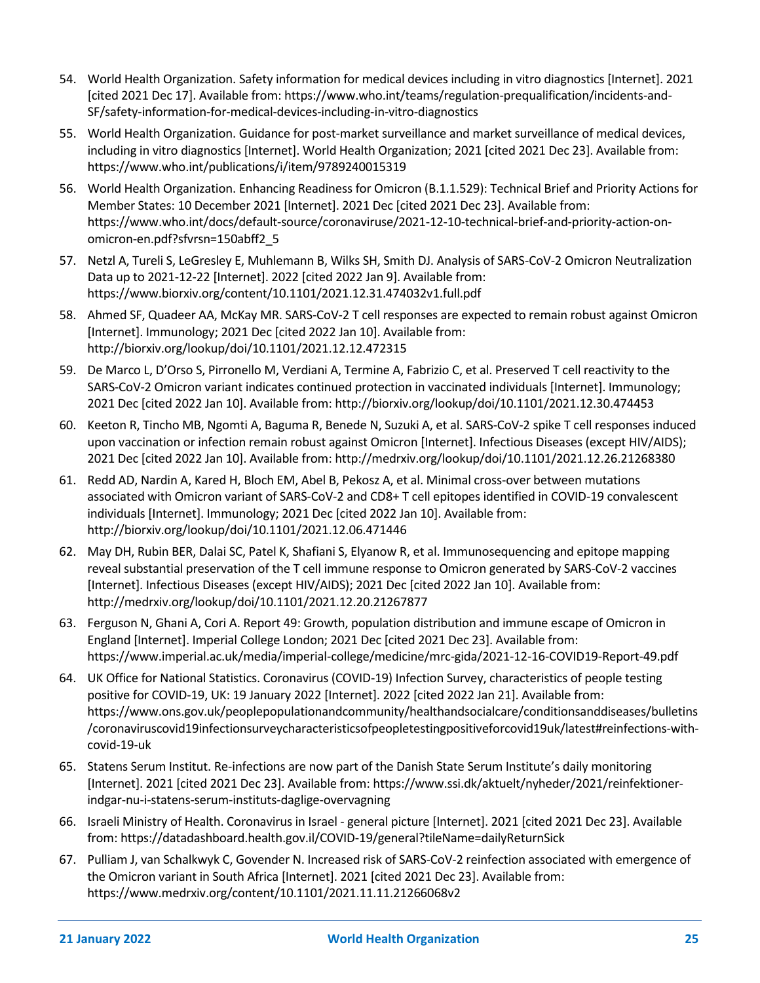- 54. World Health Organization. Safety information for medical devices including in vitro diagnostics [Internet]. 2021 [cited 2021 Dec 17]. Available from: https://www.who.int/teams/regulation-prequalification/incidents-and-SF/safety-information-for-medical-devices-including-in-vitro-diagnostics
- 55. World Health Organization. Guidance for post-market surveillance and market surveillance of medical devices, including in vitro diagnostics [Internet]. World Health Organization; 2021 [cited 2021 Dec 23]. Available from: https://www.who.int/publications/i/item/9789240015319
- 56. World Health Organization. Enhancing Readiness for Omicron (B.1.1.529): Technical Brief and Priority Actions for Member States: 10 December 2021 [Internet]. 2021 Dec [cited 2021 Dec 23]. Available from: https://www.who.int/docs/default-source/coronaviruse/2021-12-10-technical-brief-and-priority-action-onomicron-en.pdf?sfvrsn=150abff2\_5
- 57. Netzl A, Tureli S, LeGresley E, Muhlemann B, Wilks SH, Smith DJ. Analysis of SARS-CoV-2 Omicron Neutralization Data up to 2021-12-22 [Internet]. 2022 [cited 2022 Jan 9]. Available from: https://www.biorxiv.org/content/10.1101/2021.12.31.474032v1.full.pdf
- 58. Ahmed SF, Quadeer AA, McKay MR. SARS-CoV-2 T cell responses are expected to remain robust against Omicron [Internet]. Immunology; 2021 Dec [cited 2022 Jan 10]. Available from: http://biorxiv.org/lookup/doi/10.1101/2021.12.12.472315
- 59. De Marco L, D'Orso S, Pirronello M, Verdiani A, Termine A, Fabrizio C, et al. Preserved T cell reactivity to the SARS-CoV-2 Omicron variant indicates continued protection in vaccinated individuals [Internet]. Immunology; 2021 Dec [cited 2022 Jan 10]. Available from: http://biorxiv.org/lookup/doi/10.1101/2021.12.30.474453
- 60. Keeton R, Tincho MB, Ngomti A, Baguma R, Benede N, Suzuki A, et al. SARS-CoV-2 spike T cell responses induced upon vaccination or infection remain robust against Omicron [Internet]. Infectious Diseases (except HIV/AIDS); 2021 Dec [cited 2022 Jan 10]. Available from: http://medrxiv.org/lookup/doi/10.1101/2021.12.26.21268380
- 61. Redd AD, Nardin A, Kared H, Bloch EM, Abel B, Pekosz A, et al. Minimal cross-over between mutations associated with Omicron variant of SARS-CoV-2 and CD8+ T cell epitopes identified in COVID-19 convalescent individuals [Internet]. Immunology; 2021 Dec [cited 2022 Jan 10]. Available from: http://biorxiv.org/lookup/doi/10.1101/2021.12.06.471446
- 62. May DH, Rubin BER, Dalai SC, Patel K, Shafiani S, Elyanow R, et al. Immunosequencing and epitope mapping reveal substantial preservation of the T cell immune response to Omicron generated by SARS-CoV-2 vaccines [Internet]. Infectious Diseases (except HIV/AIDS); 2021 Dec [cited 2022 Jan 10]. Available from: http://medrxiv.org/lookup/doi/10.1101/2021.12.20.21267877
- 63. Ferguson N, Ghani A, Cori A. Report 49: Growth, population distribution and immune escape of Omicron in England [Internet]. Imperial College London; 2021 Dec [cited 2021 Dec 23]. Available from: https://www.imperial.ac.uk/media/imperial-college/medicine/mrc-gida/2021-12-16-COVID19-Report-49.pdf
- 64. UK Office for National Statistics. Coronavirus (COVID-19) Infection Survey, characteristics of people testing positive for COVID-19, UK: 19 January 2022 [Internet]. 2022 [cited 2022 Jan 21]. Available from: https://www.ons.gov.uk/peoplepopulationandcommunity/healthandsocialcare/conditionsanddiseases/bulletins /coronaviruscovid19infectionsurveycharacteristicsofpeopletestingpositiveforcovid19uk/latest#reinfections-withcovid-19-uk
- 65. Statens Serum Institut. Re-infections are now part of the Danish State Serum Institute's daily monitoring [Internet]. 2021 [cited 2021 Dec 23]. Available from: https://www.ssi.dk/aktuelt/nyheder/2021/reinfektionerindgar-nu-i-statens-serum-instituts-daglige-overvagning
- 66. Israeli Ministry of Health. Coronavirus in Israel general picture [Internet]. 2021 [cited 2021 Dec 23]. Available from: https://datadashboard.health.gov.il/COVID-19/general?tileName=dailyReturnSick
- 67. Pulliam J, van Schalkwyk C, Govender N. Increased risk of SARS-CoV-2 reinfection associated with emergence of the Omicron variant in South Africa [Internet]. 2021 [cited 2021 Dec 23]. Available from: https://www.medrxiv.org/content/10.1101/2021.11.11.21266068v2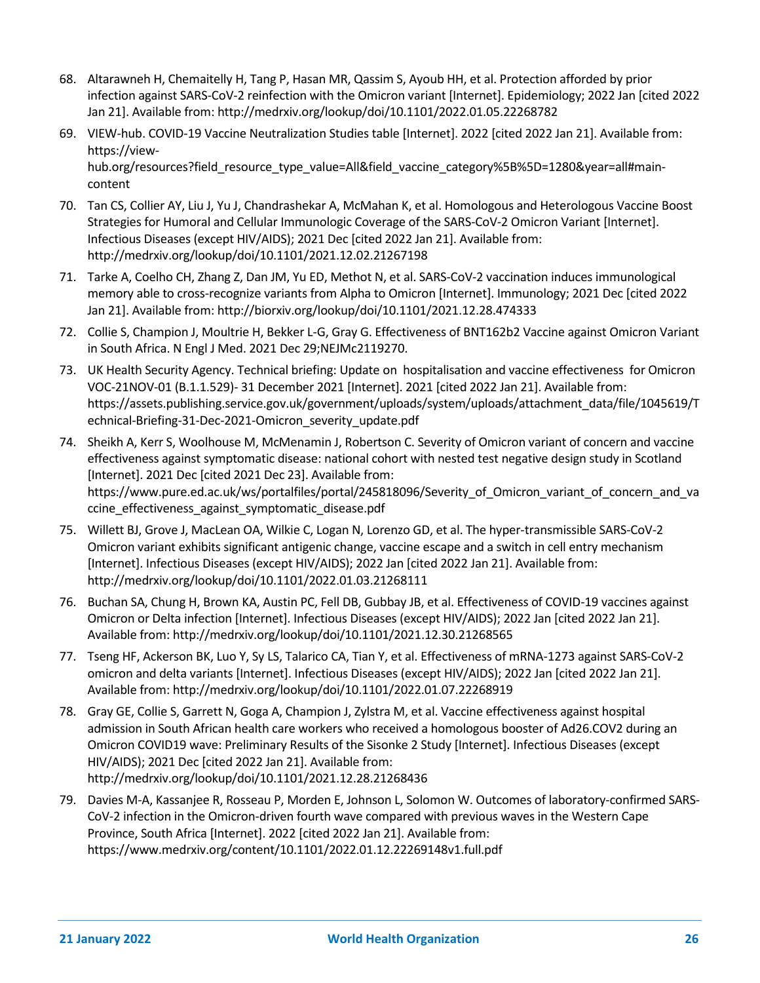- 68. Altarawneh H, Chemaitelly H, Tang P, Hasan MR, Qassim S, Ayoub HH, et al. Protection afforded by prior infection against SARS-CoV-2 reinfection with the Omicron variant [Internet]. Epidemiology; 2022 Jan [cited 2022 Jan 21]. Available from: http://medrxiv.org/lookup/doi/10.1101/2022.01.05.22268782
- 69. VIEW-hub. COVID-19 Vaccine Neutralization Studies table [Internet]. 2022 [cited 2022 Jan 21]. Available from: https://viewhub.org/resources?field\_resource\_type\_value=All&field\_vaccine\_category%5B%5D=1280&year=all#maincontent
- 70. Tan CS, Collier AY, Liu J, Yu J, Chandrashekar A, McMahan K, et al. Homologous and Heterologous Vaccine Boost Strategies for Humoral and Cellular Immunologic Coverage of the SARS-CoV-2 Omicron Variant [Internet]. Infectious Diseases (except HIV/AIDS); 2021 Dec [cited 2022 Jan 21]. Available from: http://medrxiv.org/lookup/doi/10.1101/2021.12.02.21267198
- 71. Tarke A, Coelho CH, Zhang Z, Dan JM, Yu ED, Methot N, et al. SARS-CoV-2 vaccination induces immunological memory able to cross-recognize variants from Alpha to Omicron [Internet]. Immunology; 2021 Dec [cited 2022 Jan 21]. Available from: http://biorxiv.org/lookup/doi/10.1101/2021.12.28.474333
- 72. Collie S, Champion J, Moultrie H, Bekker L-G, Gray G. Effectiveness of BNT162b2 Vaccine against Omicron Variant in South Africa. N Engl J Med. 2021 Dec 29;NEJMc2119270.
- 73. UK Health Security Agency. Technical briefing: Update on hospitalisation and vaccine effectiveness for Omicron VOC-21NOV-01 (B.1.1.529)- 31 December 2021 [Internet]. 2021 [cited 2022 Jan 21]. Available from: https://assets.publishing.service.gov.uk/government/uploads/system/uploads/attachment\_data/file/1045619/T echnical-Briefing-31-Dec-2021-Omicron\_severity\_update.pdf
- 74. Sheikh A, Kerr S, Woolhouse M, McMenamin J, Robertson C. Severity of Omicron variant of concern and vaccine effectiveness against symptomatic disease: national cohort with nested test negative design study in Scotland [Internet]. 2021 Dec [cited 2021 Dec 23]. Available from: https://www.pure.ed.ac.uk/ws/portalfiles/portal/245818096/Severity\_of\_Omicron\_variant\_of\_concern\_and\_va ccine\_effectiveness\_against\_symptomatic\_disease.pdf
- 75. Willett BJ, Grove J, MacLean OA, Wilkie C, Logan N, Lorenzo GD, et al. The hyper-transmissible SARS-CoV-2 Omicron variant exhibits significant antigenic change, vaccine escape and a switch in cell entry mechanism [Internet]. Infectious Diseases (except HIV/AIDS); 2022 Jan [cited 2022 Jan 21]. Available from: http://medrxiv.org/lookup/doi/10.1101/2022.01.03.21268111
- 76. Buchan SA, Chung H, Brown KA, Austin PC, Fell DB, Gubbay JB, et al. Effectiveness of COVID-19 vaccines against Omicron or Delta infection [Internet]. Infectious Diseases (except HIV/AIDS); 2022 Jan [cited 2022 Jan 21]. Available from: http://medrxiv.org/lookup/doi/10.1101/2021.12.30.21268565
- 77. Tseng HF, Ackerson BK, Luo Y, Sy LS, Talarico CA, Tian Y, et al. Effectiveness of mRNA-1273 against SARS-CoV-2 omicron and delta variants [Internet]. Infectious Diseases (except HIV/AIDS); 2022 Jan [cited 2022 Jan 21]. Available from: http://medrxiv.org/lookup/doi/10.1101/2022.01.07.22268919
- 78. Gray GE, Collie S, Garrett N, Goga A, Champion J, Zylstra M, et al. Vaccine effectiveness against hospital admission in South African health care workers who received a homologous booster of Ad26.COV2 during an Omicron COVID19 wave: Preliminary Results of the Sisonke 2 Study [Internet]. Infectious Diseases (except HIV/AIDS); 2021 Dec [cited 2022 Jan 21]. Available from: http://medrxiv.org/lookup/doi/10.1101/2021.12.28.21268436
- 79. Davies M-A, Kassanjee R, Rosseau P, Morden E, Johnson L, Solomon W. Outcomes of laboratory-confirmed SARS-CoV-2 infection in the Omicron-driven fourth wave compared with previous waves in the Western Cape Province, South Africa [Internet]. 2022 [cited 2022 Jan 21]. Available from: https://www.medrxiv.org/content/10.1101/2022.01.12.22269148v1.full.pdf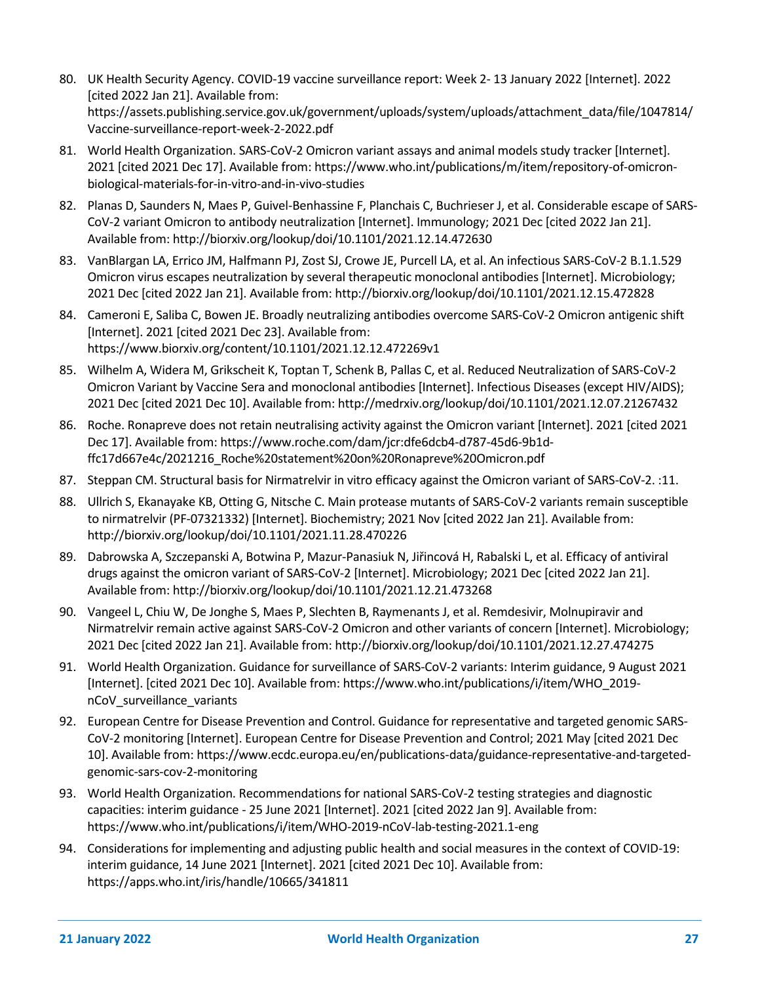- 80. UK Health Security Agency. COVID-19 vaccine surveillance report: Week 2- 13 January 2022 [Internet]. 2022 [cited 2022 Jan 21]. Available from: https://assets.publishing.service.gov.uk/government/uploads/system/uploads/attachment\_data/file/1047814/ Vaccine-surveillance-report-week-2-2022.pdf
- 81. World Health Organization. SARS-CoV-2 Omicron variant assays and animal models study tracker [Internet]. 2021 [cited 2021 Dec 17]. Available from: https://www.who.int/publications/m/item/repository-of-omicronbiological-materials-for-in-vitro-and-in-vivo-studies
- 82. Planas D, Saunders N, Maes P, Guivel-Benhassine F, Planchais C, Buchrieser J, et al. Considerable escape of SARS-CoV-2 variant Omicron to antibody neutralization [Internet]. Immunology; 2021 Dec [cited 2022 Jan 21]. Available from: http://biorxiv.org/lookup/doi/10.1101/2021.12.14.472630
- 83. VanBlargan LA, Errico JM, Halfmann PJ, Zost SJ, Crowe JE, Purcell LA, et al. An infectious SARS-CoV-2 B.1.1.529 Omicron virus escapes neutralization by several therapeutic monoclonal antibodies [Internet]. Microbiology; 2021 Dec [cited 2022 Jan 21]. Available from: http://biorxiv.org/lookup/doi/10.1101/2021.12.15.472828
- 84. Cameroni E, Saliba C, Bowen JE. Broadly neutralizing antibodies overcome SARS-CoV-2 Omicron antigenic shift [Internet]. 2021 [cited 2021 Dec 23]. Available from: https://www.biorxiv.org/content/10.1101/2021.12.12.472269v1
- 85. Wilhelm A, Widera M, Grikscheit K, Toptan T, Schenk B, Pallas C, et al. Reduced Neutralization of SARS-CoV-2 Omicron Variant by Vaccine Sera and monoclonal antibodies [Internet]. Infectious Diseases (except HIV/AIDS); 2021 Dec [cited 2021 Dec 10]. Available from: http://medrxiv.org/lookup/doi/10.1101/2021.12.07.21267432
- 86. Roche. Ronapreve does not retain neutralising activity against the Omicron variant [Internet]. 2021 [cited 2021 Dec 17]. Available from: https://www.roche.com/dam/jcr:dfe6dcb4-d787-45d6-9b1dffc17d667e4c/2021216\_Roche%20statement%20on%20Ronapreve%20Omicron.pdf
- 87. Steppan CM. Structural basis for Nirmatrelvir in vitro efficacy against the Omicron variant of SARS-CoV-2. :11.
- 88. Ullrich S, Ekanayake KB, Otting G, Nitsche C. Main protease mutants of SARS-CoV-2 variants remain susceptible to nirmatrelvir (PF-07321332) [Internet]. Biochemistry; 2021 Nov [cited 2022 Jan 21]. Available from: http://biorxiv.org/lookup/doi/10.1101/2021.11.28.470226
- 89. Dabrowska A, Szczepanski A, Botwina P, Mazur-Panasiuk N, Jiřincová H, Rabalski L, et al. Efficacy of antiviral drugs against the omicron variant of SARS-CoV-2 [Internet]. Microbiology; 2021 Dec [cited 2022 Jan 21]. Available from: http://biorxiv.org/lookup/doi/10.1101/2021.12.21.473268
- 90. Vangeel L, Chiu W, De Jonghe S, Maes P, Slechten B, Raymenants J, et al. Remdesivir, Molnupiravir and Nirmatrelvir remain active against SARS-CoV-2 Omicron and other variants of concern [Internet]. Microbiology; 2021 Dec [cited 2022 Jan 21]. Available from: http://biorxiv.org/lookup/doi/10.1101/2021.12.27.474275
- 91. World Health Organization. Guidance for surveillance of SARS-CoV-2 variants: Interim guidance, 9 August 2021 [Internet]. [cited 2021 Dec 10]. Available from: https://www.who.int/publications/i/item/WHO\_2019 nCoV\_surveillance\_variants
- 92. European Centre for Disease Prevention and Control. Guidance for representative and targeted genomic SARS-CoV-2 monitoring [Internet]. European Centre for Disease Prevention and Control; 2021 May [cited 2021 Dec 10]. Available from: https://www.ecdc.europa.eu/en/publications-data/guidance-representative-and-targetedgenomic-sars-cov-2-monitoring
- 93. World Health Organization. Recommendations for national SARS-CoV-2 testing strategies and diagnostic capacities: interim guidance - 25 June 2021 [Internet]. 2021 [cited 2022 Jan 9]. Available from: https://www.who.int/publications/i/item/WHO-2019-nCoV-lab-testing-2021.1-eng
- 94. Considerations for implementing and adjusting public health and social measures in the context of COVID-19: interim guidance, 14 June 2021 [Internet]. 2021 [cited 2021 Dec 10]. Available from: https://apps.who.int/iris/handle/10665/341811